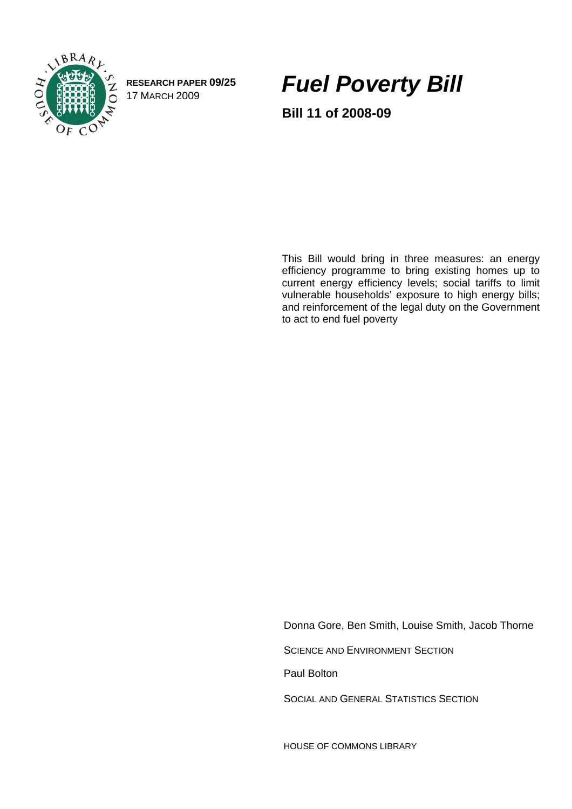

**RESEARCH PAPER 09/25** 

RESEARCH PAPER 09/25 **Fuel Poverty Bill** 

**Bill 11 of 2008-09** 

This Bill would bring in three measures: an energy efficiency programme to bring existing homes up to current energy efficiency levels; social tariffs to limit vulnerable households' exposure to high energy bills; and reinforcement of the legal duty on the Government to act to end fuel poverty

Donna Gore, Ben Smith, Louise Smith, Jacob Thorne

SCIENCE AND ENVIRONMENT SECTION

Paul Bolton

SOCIAL AND GENERAL STATISTICS SECTION

HOUSE OF COMMONS LIBRARY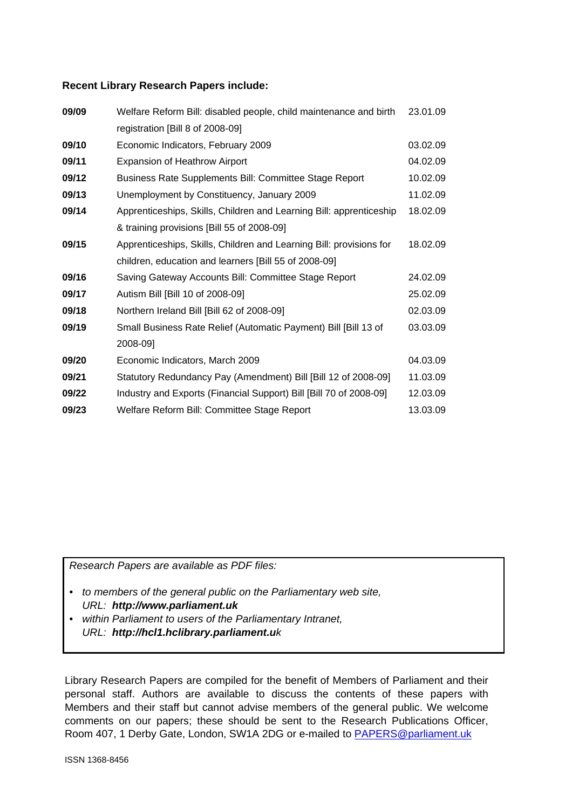#### **Recent Library Research Papers include:**

| 09/09 | Welfare Reform Bill: disabled people, child maintenance and birth   | 23.01.09 |
|-------|---------------------------------------------------------------------|----------|
|       | registration [Bill 8 of 2008-09]                                    |          |
| 09/10 | Economic Indicators, February 2009                                  | 03.02.09 |
| 09/11 | <b>Expansion of Heathrow Airport</b>                                | 04.02.09 |
| 09/12 | Business Rate Supplements Bill: Committee Stage Report              | 10.02.09 |
| 09/13 | Unemployment by Constituency, January 2009                          | 11.02.09 |
| 09/14 | Apprenticeships, Skills, Children and Learning Bill: apprenticeship | 18.02.09 |
|       | & training provisions [Bill 55 of 2008-09]                          |          |
| 09/15 | Apprenticeships, Skills, Children and Learning Bill: provisions for | 18.02.09 |
|       | children, education and learners [Bill 55 of 2008-09]               |          |
| 09/16 | Saving Gateway Accounts Bill: Committee Stage Report                | 24.02.09 |
| 09/17 | Autism Bill [Bill 10 of 2008-09]                                    | 25.02.09 |
| 09/18 | Northern Ireland Bill [Bill 62 of 2008-09]                          | 02.03.09 |
| 09/19 | Small Business Rate Relief (Automatic Payment) Bill [Bill 13 of     | 03.03.09 |
|       | 2008-09]                                                            |          |
| 09/20 | Economic Indicators, March 2009                                     | 04.03.09 |
| 09/21 | Statutory Redundancy Pay (Amendment) Bill [Bill 12 of 2008-09]      | 11.03.09 |
| 09/22 | Industry and Exports (Financial Support) Bill [Bill 70 of 2008-09]  | 12.03.09 |
| 09/23 | Welfare Reform Bill: Committee Stage Report                         | 13.03.09 |

*Research Papers are available as PDF files:* 

- *to members of the general public on the Parliamentary web site, URL: http://www.parliament.uk*
- *within Parliament to users of the Parliamentary Intranet, URL: http://hcl1.hclibrary.parliament.uk*

Library Research Papers are compiled for the benefit of Members of Parliament and their personal staff. Authors are available to discuss the contents of these papers with Members and their staff but cannot advise members of the general public. We welcome comments on our papers; these should be sent to the Research Publications Officer, Room 407, 1 Derby Gate, London, SW1A 2DG or e-mailed to [PAPERS@parliament.uk](mailto:PAPERS@parliament.uk)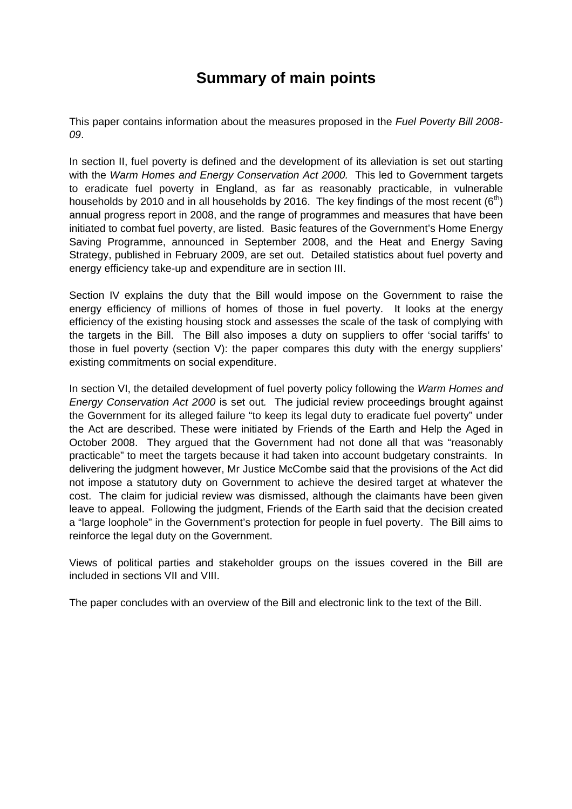# **Summary of main points**

This paper contains information about the measures proposed in the *Fuel Poverty Bill 2008- 09*.

In section II, fuel poverty is defined and the development of its alleviation is set out starting with the *Warm Homes and Energy Conservation Act 2000.* This led to Government targets to eradicate fuel poverty in England, as far as reasonably practicable, in vulnerable households by 2010 and in all households by 2016. The key findings of the most recent  $(6<sup>th</sup>)$ annual progress report in 2008, and the range of programmes and measures that have been initiated to combat fuel poverty, are listed. Basic features of the Government's Home Energy Saving Programme, announced in September 2008, and the Heat and Energy Saving Strategy, published in February 2009, are set out. Detailed statistics about fuel poverty and energy efficiency take-up and expenditure are in section III.

Section IV explains the duty that the Bill would impose on the Government to raise the energy efficiency of millions of homes of those in fuel poverty. It looks at the energy efficiency of the existing housing stock and assesses the scale of the task of complying with the targets in the Bill. The Bill also imposes a duty on suppliers to offer 'social tariffs' to those in fuel poverty (section V): the paper compares this duty with the energy suppliers' existing commitments on social expenditure.

In section VI, the detailed development of fuel poverty policy following the *Warm Homes and Energy Conservation Act 2000* is set out*.* The judicial review proceedings brought against the Government for its alleged failure "to keep its legal duty to eradicate fuel poverty" under the Act are described. These were initiated by Friends of the Earth and Help the Aged in October 2008. They argued that the Government had not done all that was "reasonably practicable" to meet the targets because it had taken into account budgetary constraints. In delivering the judgment however, Mr Justice McCombe said that the provisions of the Act did not impose a statutory duty on Government to achieve the desired target at whatever the cost. The claim for judicial review was dismissed, although the claimants have been given leave to appeal. Following the judgment, Friends of the Earth said that the decision created a "large loophole" in the Government's protection for people in fuel poverty. The Bill aims to reinforce the legal duty on the Government.

Views of political parties and stakeholder groups on the issues covered in the Bill are included in sections VII and VIII.

The paper concludes with an overview of the Bill and electronic link to the text of the Bill.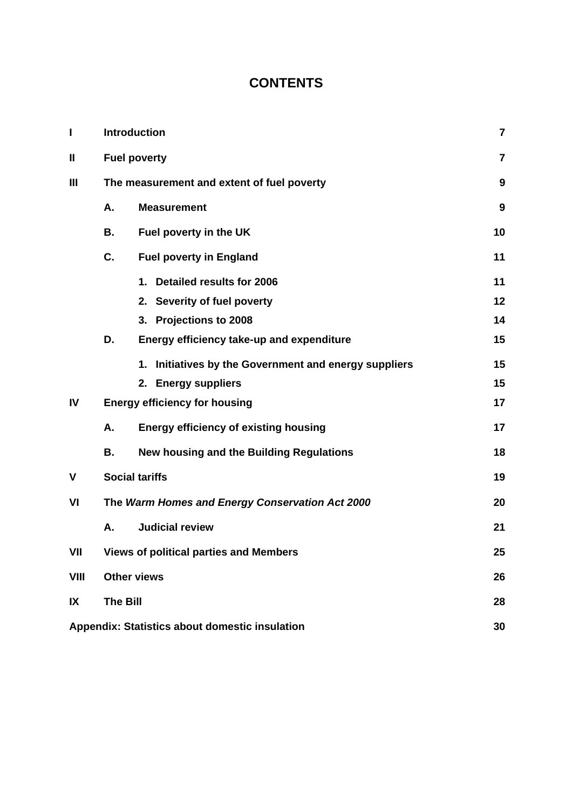# **CONTENTS**

| I           | <b>Introduction</b> |                                                          |                |  |  |  |
|-------------|---------------------|----------------------------------------------------------|----------------|--|--|--|
| Ш           |                     | <b>Fuel poverty</b>                                      | $\overline{7}$ |  |  |  |
| Ш           |                     | The measurement and extent of fuel poverty               | 9              |  |  |  |
|             | Α.                  | <b>Measurement</b>                                       | 9              |  |  |  |
|             | В.                  | Fuel poverty in the UK                                   | 10             |  |  |  |
|             | C.                  | <b>Fuel poverty in England</b>                           | 11             |  |  |  |
|             |                     | 1. Detailed results for 2006                             | 11             |  |  |  |
|             |                     | 2. Severity of fuel poverty                              | 12             |  |  |  |
|             |                     | 3. Projections to 2008                                   | 14             |  |  |  |
|             | D.                  | Energy efficiency take-up and expenditure                | 15             |  |  |  |
|             |                     | Initiatives by the Government and energy suppliers<br>1. | 15             |  |  |  |
|             |                     | 2. Energy suppliers                                      | 15             |  |  |  |
| IV          |                     | <b>Energy efficiency for housing</b>                     | 17             |  |  |  |
|             | Α.                  | <b>Energy efficiency of existing housing</b>             | 17             |  |  |  |
|             | В.                  | New housing and the Building Regulations                 | 18             |  |  |  |
| V           |                     | <b>Social tariffs</b>                                    | 19             |  |  |  |
| VI          |                     | The Warm Homes and Energy Conservation Act 2000          | 20             |  |  |  |
|             | Α.                  | <b>Judicial review</b>                                   | 21             |  |  |  |
| VII         |                     | <b>Views of political parties and Members</b>            | 25             |  |  |  |
| <b>VIII</b> |                     | <b>Other views</b>                                       | 26             |  |  |  |
| IX          | <b>The Bill</b>     |                                                          |                |  |  |  |
|             |                     | Appendix: Statistics about domestic insulation           | 30             |  |  |  |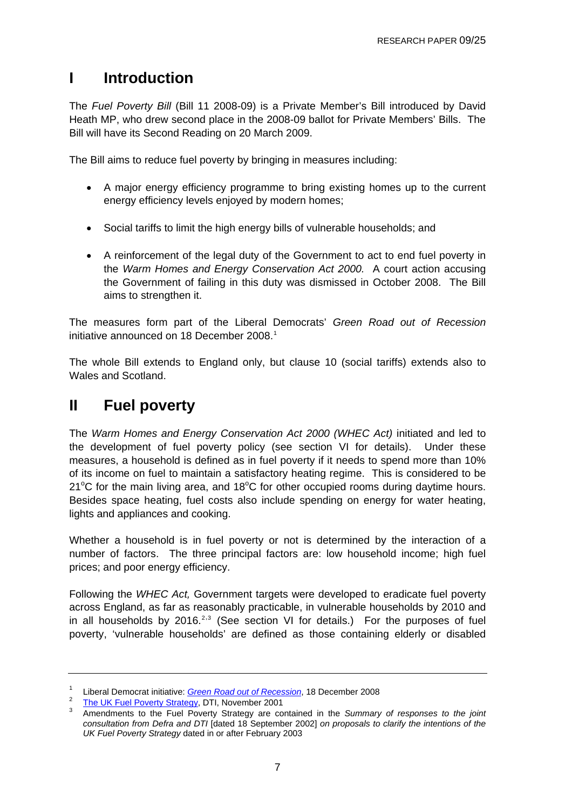## <span id="page-6-0"></span>**I Introduction**

The *Fuel Poverty Bill* (Bill 11 2008-09) is a Private Member's Bill introduced by David Heath MP, who drew second place in the 2008-09 ballot for Private Members' Bills. The Bill will have its Second Reading on 20 March 2009.

The Bill aims to reduce fuel poverty by bringing in measures including:

- A major energy efficiency programme to bring existing homes up to the current energy efficiency levels enjoyed by modern homes;
- Social tariffs to limit the high energy bills of vulnerable households; and
- A reinforcement of the legal duty of the Government to act to end fuel poverty in the *Warm Homes and Energy Conservation Act 2000.* A court action accusing the Government of failing in this duty was dismissed in October 2008. The Bill aims to strengthen it.

The measures form part of the Liberal Democrats' *Green Road out of Recession* initiative announced on [1](#page-6-0)8 December 2008.<sup>1</sup>

The whole Bill extends to England only, but clause 10 (social tariffs) extends also to Wales and Scotland.

# **II Fuel poverty**

The *Warm Homes and Energy Conservation Act 2000 (WHEC Act)* initiated and led to the development of fuel poverty policy (see section VI for details). Under these measures, a household is defined as in fuel poverty if it needs to spend more than 10% of its income on fuel to maintain a satisfactory heating regime. This is considered to be  $21^{\circ}$ C for the main living area, and 18 $^{\circ}$ C for other occupied rooms during daytime hours. Besides space heating, fuel costs also include spending on energy for water heating, lights and appliances and cooking.

Whether a household is in fuel poverty or not is determined by the interaction of a number of factors. The three principal factors are: low household income; high fuel prices; and poor energy efficiency.

Following the *WHEC Act,* Government targets were developed to eradicate fuel poverty across England, as far as reasonably practicable, in vulnerable households by 2010 and in all households by [2](#page-6-0)016. $2,3$  $2,3$  (See section VI for details.) For the purposes of fuel poverty, 'vulnerable households' are defined as those containing elderly or disabled

<sup>&</sup>lt;sup>1</sup> Liberal Democrat initiative: *Green Road out of Recession*, 18 December 2008 <sup>1</sup> Liberal Democrat initiative: *Green Road out of Recession*[,](http://www.libdems.org.uk/home/nick-clegg-launches-the-green-road-out-of-the-recession-98449610;show) 18 December 2008<br><sup>2</sup> The LIK Fuel Reverty Strategy, DTL Nevember 2001

<sup>&</sup>lt;sup>2</sup> [The UK Fuel Poverty Strategy,](http://www.berr.gov.uk/files/file16495.pdf) DTI, November 2001<br><sup>3</sup> Amendments to the Fuel Poverty Strategy are contained in the *Summary of responses to the joint consultation from Defra and DTI* [dated 18 September 2002] *on proposals to clarify the intentions of the UK Fuel Poverty Strategy* dated in or after February 2003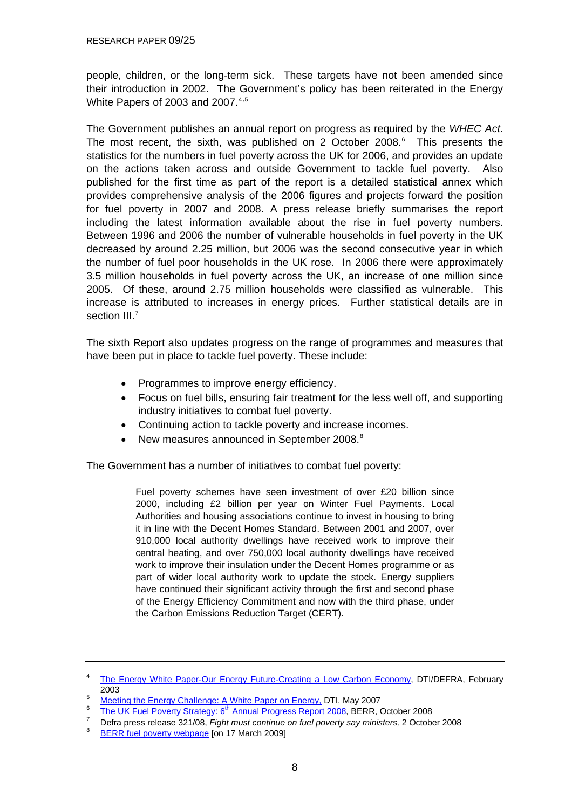<span id="page-7-0"></span>people, children, or the long-term sick. These targets have not been amended since their introduction in 2002. The Government's policy has been reiterated in the Energy White Papers of 2003 and 2007. $4.5$  $4.5$  $4.5$ 

The Government publishes an annual report on progress as required by the *WHEC Act*. The most recent, the sixth, was published on 2 October 2008. $6$  This presents the statistics for the numbers in fuel poverty across the UK for 2006, and provides an update on the actions taken across and outside Government to tackle fuel poverty. Also published for the first time as part of the report is a detailed statistical annex which provides comprehensive analysis of the 2006 figures and projects forward the position for fuel poverty in 2007 and 2008. A press release briefly summarises the report including the latest information available about the rise in fuel poverty numbers. Between 1996 and 2006 the number of vulnerable households in fuel poverty in the UK decreased by around 2.25 million, but 2006 was the second consecutive year in which the number of fuel poor households in the UK rose. In 2006 there were approximately 3.5 million households in fuel poverty across the UK, an increase of one million since 2005. Of these, around 2.75 million households were classified as vulnerable. This increase is attributed to increases in energy prices. Further statistical details are in section III.<sup>[7](#page-7-0)</sup>

The sixth Report also updates progress on the range of programmes and measures that have been put in place to tackle fuel poverty. These include:

- Programmes to improve energy efficiency.
- Focus on fuel bills, ensuring fair treatment for the less well off, and supporting industry initiatives to combat fuel poverty.
- Continuing action to tackle poverty and increase incomes.
- New measures announced in September 200[8](#page-7-0).<sup>8</sup>

The Government has a number of initiatives to combat fuel poverty:

Fuel poverty schemes have seen investment of over £20 billion since 2000, including £2 billion per year on Winter Fuel Payments. Local Authorities and housing associations continue to invest in housing to bring it in line with the Decent Homes Standard. Between 2001 and 2007, over 910,000 local authority dwellings have received work to improve their central heating, and over 750,000 local authority dwellings have received work to improve their insulation under the Decent Homes programme or as part of wider local authority work to update the stock. Energy suppliers have continued their significant activity through the first and second phase of the Energy Efficiency Commitment and now with the third phase, under the Carbon Emissions Reduction Target (CERT).

<sup>4</sup> [The Energy White Paper-Our Energy Future-Creating a Low Carbon Economy](http://www.berr.gov.uk/files/file10719.pdf), DTI/DEFRA, February  $^{2003}$ 

[Meeting the Energy Challenge: A White Paper on Energy,](http://www.berr.gov.uk/files/file39387.pdf) DTI, May 2007<br>6. The UK Fuel Payerty Strategy o<sup>th</sup> Annual Pregress Pepert 2008, BERB O

 $\frac{1}{7}$  [The UK Fuel Poverty Strategy: 6](http://www.berr.gov.uk/files/file48036.pdf)<sup>th</sup> Annual Progress Report 2008, BERR, October 2008

Defra press release 321/08, *Fight must continue on fuel poverty say ministers,* 2 October 2008 8

[BERR fuel poverty webpage](http://www.berr.gov.uk/whatwedo/energy/fuel-poverty/index.html) [on 17 March 2009]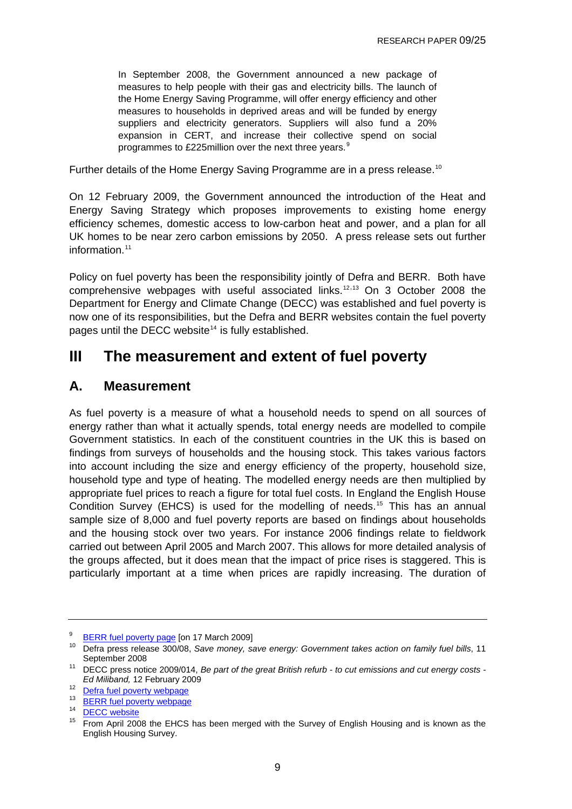<span id="page-8-0"></span>In September 2008, the Government announced a new package of measures to help people with their gas and electricity bills. The launch of the Home Energy Saving Programme, will offer energy efficiency and other measures to households in deprived areas and will be funded by energy suppliers and electricity generators. Suppliers will also fund a 20% expansion in CERT, and increase their collective spend on social programmes to £225 million over the next three years.<sup>[9](#page-8-0)</sup>

Further details of the Home Energy Saving Programme are in a press release.<sup>[10](#page-8-0)</sup>

On 12 February 2009, the Government announced the introduction of the Heat and Energy Saving Strategy which proposes improvements to existing home energy efficiency schemes, domestic access to low-carbon heat and power, and a plan for all UK homes to be near zero carbon emissions by 2050. A press release sets out further information<sup>[11](#page-8-0)</sup>

Policy on fuel poverty has been the responsibility jointly of Defra and BERR. Both have comprehensive webpages with useful associated links.<sup>[12](#page-8-0),[13](#page-8-0)</sup> On 3 October 2008 the Department for Energy and Climate Change (DECC) was established and fuel poverty is now one of its responsibilities, but the Defra and BERR websites contain the fuel poverty pages until the DECC website<sup>[14](#page-8-0)</sup> is fully established.

## **III The measurement and extent of fuel poverty**

## **A. Measurement**

As fuel poverty is a measure of what a household needs to spend on all sources of energy rather than what it actually spends, total energy needs are modelled to compile Government statistics. In each of the constituent countries in the UK this is based on findings from surveys of households and the housing stock. This takes various factors into account including the size and energy efficiency of the property, household size, household type and type of heating. The modelled energy needs are then multiplied by appropriate fuel prices to reach a figure for total fuel costs. In England the English House Condition Survey (EHCS) is used for the modelling of needs.<sup>[15](#page-8-0)</sup> This has an annual sample size of 8,000 and fuel poverty reports are based on findings about households and the housing stock over two years. For instance 2006 findings relate to fieldwork carried out between April 2005 and March 2007. This allows for more detailed analysis of the groups affected, but it does mean that the impact of price rises is staggered. This is particularly important at a time when prices are rapidly increasing. The duration of

<sup>9</sup>

<sup>&</sup>lt;sup>9</sup> [BERR fuel poverty page](http://www.berr.gov.uk/whatwedo/energy/fuel-poverty/index.html) [on 17 March 2009]<br><sup>10</sup> Defra press release 300/08, Save money, save energy: Government takes action on family fuel bills, 11 September 2008 11 DECC press notice 2009/014, *Be part of the great British refurb - to cut emissions and cut energy costs -* 

*Ed Miliband, 12 February 2009*<br><sup>12</sup> [Defra fuel poverty webpage](http://www.defra.gov.uk/environment/climatechange/uk/household/fuelpoverty/index.htm)

<sup>&</sup>lt;sup>13</sup> [BERR fuel poverty webpage](http://www.berr.gov.uk/whatwedo/energy/fuel-poverty/index.html)

 $\frac{14}{15}$  [DECC website](http://www.decc.gov.uk/)

<sup>15</sup> From April 2008 the EHCS has been merged with the Survey of English Housing and is known as the English Housing Survey.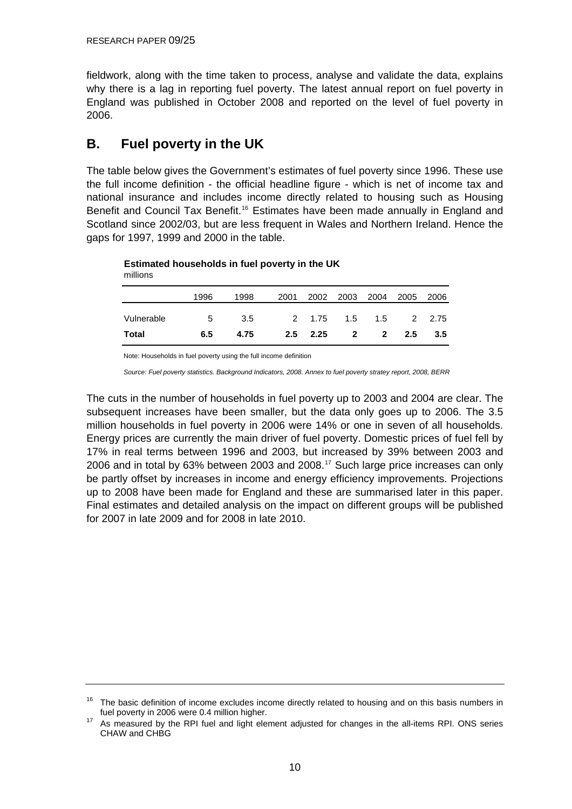<span id="page-9-0"></span>fieldwork, along with the time taken to process, analyse and validate the data, explains why there is a lag in reporting fuel poverty. The latest annual report on fuel poverty in England was published in October 2008 and reported on the level of fuel poverty in 2006.

## **B. Fuel poverty in the UK**

The table below gives the Government's estimates of fuel poverty since 1996. These use the full income definition - the official headline figure - which is net of income tax and national insurance and includes income directly related to housing such as Housing Benefit and Council Tax Benefit.<sup>[16](#page-9-0)</sup> Estimates have been made annually in England and Scotland since 2002/03, but are less frequent in Wales and Northern Ireland. Hence the gaps for 1997, 1999 and 2000 in the table.

**Estimated households in fuel poverty in the UK**

millions

|            | 1996 | 1998 | 2001 |              | 2002 2003 2004          |     | 2005 | 2006   |
|------------|------|------|------|--------------|-------------------------|-----|------|--------|
| Vulnerable | 5    | 3.5  |      | 2 1.75       | 1.5                     | 1.5 |      | 2 2.75 |
| Total      | 6.5  | 4.75 |      | $2.5$ $2.25$ | $\overline{\mathbf{2}}$ | 2   | 2.5  | 3.5    |

Note: Households in fuel poverty using the full income definition

*Source: Fuel poverty statistics. Background Indicators, 2008. Annex to fuel poverty stratey report, 2008, BERR*

The cuts in the number of households in fuel poverty up to 2003 and 2004 are clear. The subsequent increases have been smaller, but the data only goes up to 2006. The 3.5 million households in fuel poverty in 2006 were 14% or one in seven of all households. Energy prices are currently the main driver of fuel poverty. Domestic prices of fuel fell by 17% in real terms between 1996 and 2003, but increased by 39% between 2003 and 2006 and in total by 63% between 2003 and 2008.[17](#page-9-0) Such large price increases can only be partly offset by increases in income and energy efficiency improvements. Projections up to 2008 have been made for England and these are summarised later in this paper. Final estimates and detailed analysis on the impact on different groups will be published for 2007 in late 2009 and for 2008 in late 2010.

<sup>&</sup>lt;sup>16</sup> The basic definition of income excludes income directly related to housing and on this basis numbers in fuel poverty in 2006 were 0.4 million higher.

As measured by the RPI fuel and light element adjusted for changes in the all-items RPI. ONS series CHAW and CHBG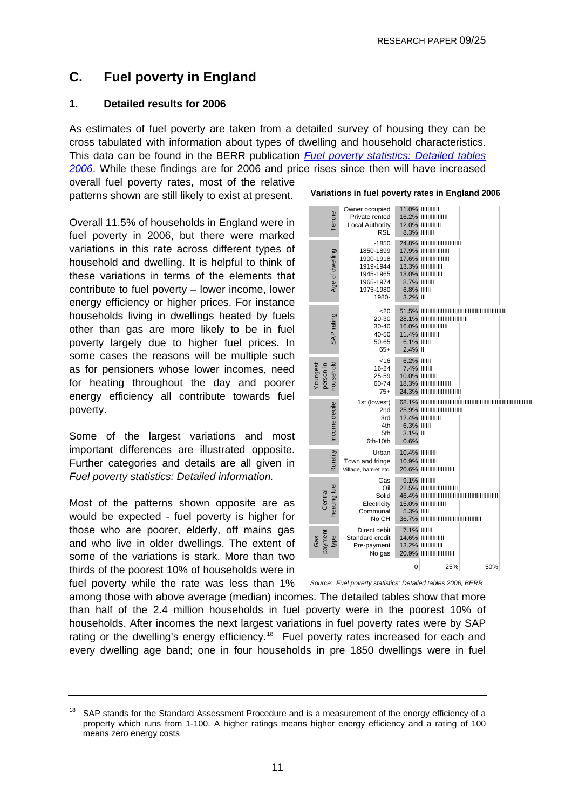## <span id="page-10-0"></span>**C. Fuel poverty in England**

#### **1. Detailed results for 2006**

As estimates of fuel poverty are taken from a detailed survey of housing they can be cross tabulated with information about types of dwelling and household characteristics. This data can be found in the BERR publication *[Fuel poverty statistics: Detailed tables](http://www.berr.gov.uk/files/file48038.pdf)  [2006](http://www.berr.gov.uk/files/file48038.pdf)*. While these findings are for 2006 and price rises since then will have increased

overall fuel poverty rates, most of the relative patterns shown are still likely to exist at present.

Overall 11.5% of households in England were in fuel poverty in 2006, but there were marked variations in this rate across different types of household and dwelling. It is helpful to think of these variations in terms of the elements that contribute to fuel poverty – lower income, lower energy efficiency or higher prices. For instance households living in dwellings heated by fuels other than gas are more likely to be in fuel poverty largely due to higher fuel prices. In some cases the reasons will be multiple such as for pensioners whose lower incomes, need for heating throughout the day and poorer energy efficiency all contribute towards fuel poverty.

Some of the largest variations and most important differences are illustrated opposite. Further categories and details are all given in *Fuel poverty statistics: Detailed information.* 

Most of the patterns shown opposite are as would be expected - fuel poverty is higher for those who are poorer, elderly, off mains gas and who live in older dwellings. The extent of some of the variations is stark. More than two thirds of the poorest 10% of households were in fuel poverty while the rate was less than 1%

|                                    | variations in luei poverty rates in England 2006                                             |                                                      |                                                                                                                                                               |     |  |  |  |
|------------------------------------|----------------------------------------------------------------------------------------------|------------------------------------------------------|---------------------------------------------------------------------------------------------------------------------------------------------------------------|-----|--|--|--|
| Tenure                             | Owner occupied<br>Private rented<br>Local Authority<br><b>RSL</b>                            | 8.3% IIIIIII                                         | <b>11.0% IIIIIIIIIII</b><br><b>16.2% IIIIIIIIIIIIIIII</b><br><b>12.0% IIIIIIIIIII</b>                                                                         |     |  |  |  |
| Age of dwelling                    | -1850<br>1850-1899<br>1900-1918<br>1919-1944<br>1945-1965<br>1965-1974<br>1975-1980<br>1980- | 8.7% IIIIIII<br>6.8% IIIII<br>3.2% III               | 24.8%                          <br><b>17.9% IIIIIIIIIIIIIIII</b><br><b>17.6% IIIIIIIIIIIIIIIII</b><br><b>13.3% IIIIIIIIIIIII</b><br><b>13.0% IIIIIIIIIIII</b> |     |  |  |  |
| SAP rating                         | $<$ 20<br>20-30<br>30-40<br>40-50<br>50-65<br>$65+$                                          | 6.1% IIIII<br>2.4% II                                | 28.1% IIIIIIIIIIIIIIIIIIIIIIIIIII<br><b>16.0%                  </b><br><b>11.4% IIIIIIIIIII</b>                                                               |     |  |  |  |
| household<br>Youngest<br>person in | $<$ 16<br>16-24<br>25-59<br>60-74<br>$75+$                                                   | 6.2% IIIII<br>7.4% IIIIII<br><b>10.0% IIIIIIIIII</b> | <b>18.3% IIIIIIIIIIIIIIIIII</b><br>24.3% ШШШШШШШ                                                                                                              |     |  |  |  |
| Income decile                      | 1st (lowest)<br>2nd<br>3rd<br>4th<br>5th<br>6th-10th                                         | 6.3% IIIII<br>3.1% III<br>0.6%                       | 25.9% ШШШШШШШШ<br><b>12.4% IIIIIIIIIIII</b>                                                                                                                   |     |  |  |  |
| Rurality                           | Urban<br>Town and fringe<br>Village, hamlet etc.                                             | <b>10.4% IIIIIIIIII</b><br><b>10.9% IIIIIIIIII</b>   | 20.6% ШШШШШШ                                                                                                                                                  |     |  |  |  |
| heating fuel<br>Central            | Gas<br>Oil<br>Solid<br>Electricity<br>Communal<br>No CH                                      | 5.3% IIIII                                           | 9.1% IIIIIIII<br>22.5%                        <br><b>15.0% IIIIIIIIIIIIIII</b><br>36.7% ШШШШШШШШШШШ                                                           |     |  |  |  |
| nemyac<br>type<br>Gas              | Direct debit<br>Standard credit<br>Pre-payment<br>No gas                                     | <b>7.1% IIIIIII</b>                                  | <b>14.6% IIIIIIIIIIIIII</b><br><b>13.2% IIIIIIIIIIIII</b><br>20.9% ШШШШШШ                                                                                     |     |  |  |  |
|                                    |                                                                                              | 0                                                    | 25%                                                                                                                                                           | 50% |  |  |  |
|                                    | Source: Fuel poverty statistics: Detailed tables 2006, BERR                                  |                                                      |                                                                                                                                                               |     |  |  |  |

**Variations in fuel poverty rates in England 2006**

among those with above average (median) incomes. The detailed tables show that more than half of the 2.4 million households in fuel poverty were in the poorest 10% of households. After incomes the next largest variations in fuel poverty rates were by SAP rating or the dwelling's energy efficiency.<sup>[18](#page-10-0)</sup> Fuel poverty rates increased for each and every dwelling age band; one in four households in pre 1850 dwellings were in fuel

11

<sup>&</sup>lt;sup>18</sup> SAP stands for the Standard Assessment Procedure and is a measurement of the energy efficiency of a property which runs from 1-100. A higher ratings means higher energy efficiency and a rating of 100 means zero energy costs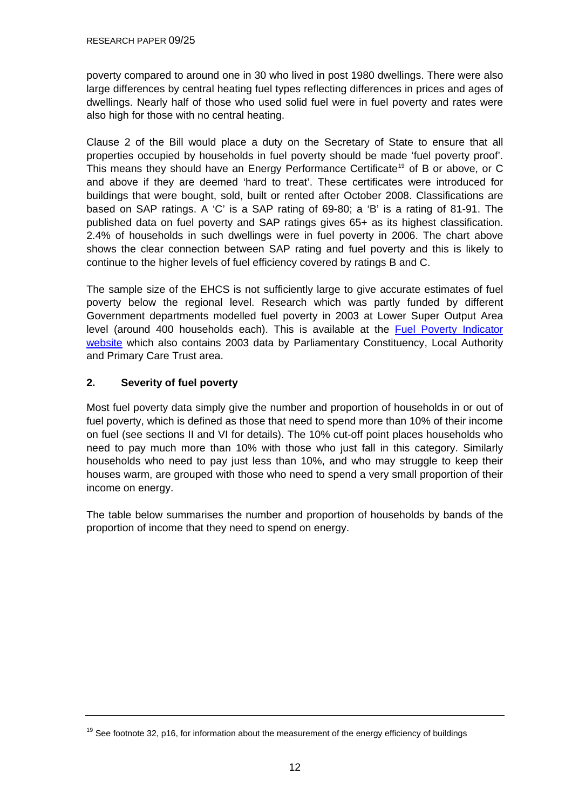<span id="page-11-0"></span>poverty compared to around one in 30 who lived in post 1980 dwellings. There were also large differences by central heating fuel types reflecting differences in prices and ages of dwellings. Nearly half of those who used solid fuel were in fuel poverty and rates were also high for those with no central heating.

Clause 2 of the Bill would place a duty on the Secretary of State to ensure that all properties occupied by households in fuel poverty should be made 'fuel poverty proof'. This means they should have an Energy Performance Certificate<sup>[19](#page-11-0)</sup> of B or above, or C and above if they are deemed 'hard to treat'. These certificates were introduced for buildings that were bought, sold, built or rented after October 2008. Classifications are based on SAP ratings. A 'C' is a SAP rating of 69-80; a 'B' is a rating of 81-91. The published data on fuel poverty and SAP ratings gives 65+ as its highest classification. 2.4% of households in such dwellings were in fuel poverty in 2006. The chart above shows the clear connection between SAP rating and fuel poverty and this is likely to continue to the higher levels of fuel efficiency covered by ratings B and C.

The sample size of the EHCS is not sufficiently large to give accurate estimates of fuel poverty below the regional level. Research which was partly funded by different Government departments modelled fuel poverty in 2003 at Lower Super Output Area level (around 400 households each). This is available at the [Fuel Poverty Indicator](http://www.fuelpovertyindicator.org.uk/)  [website](http://www.fuelpovertyindicator.org.uk/) which also contains 2003 data by Parliamentary Constituency, Local Authority and Primary Care Trust area.

### **2. Severity of fuel poverty**

Most fuel poverty data simply give the number and proportion of households in or out of fuel poverty, which is defined as those that need to spend more than 10% of their income on fuel (see sections II and VI for details). The 10% cut-off point places households who need to pay much more than 10% with those who just fall in this category. Similarly households who need to pay just less than 10%, and who may struggle to keep their houses warm, are grouped with those who need to spend a very small proportion of their income on energy.

The table below summarises the number and proportion of households by bands of the proportion of income that they need to spend on energy.

 $19$  See footnote 32, p16, for information about the measurement of the energy efficiency of buildings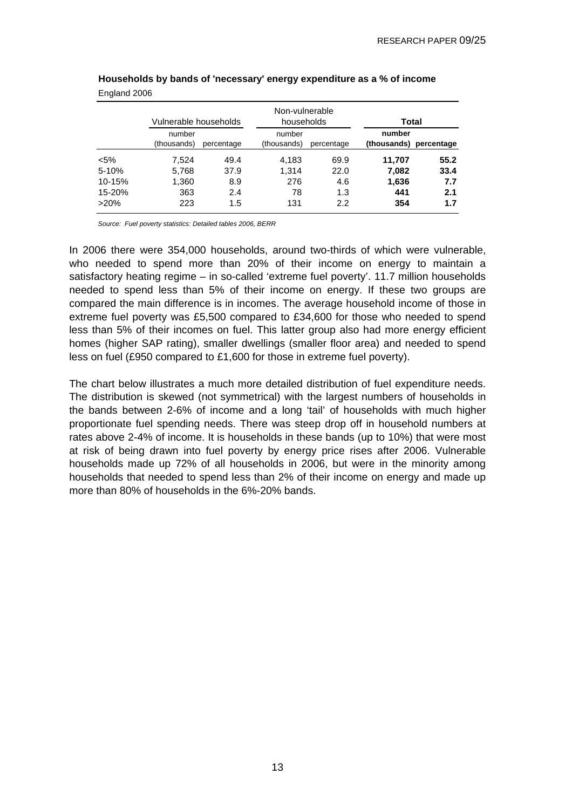|           | Vulnerable households |            | Non-vulnerable<br>households |            | Total                            |      |  |
|-----------|-----------------------|------------|------------------------------|------------|----------------------------------|------|--|
|           | number<br>(thousands) | percentage | number<br>(thousands)        | percentage | number<br>(thousands) percentage |      |  |
| $< 5\%$   | 7.524                 | 49.4       | 4,183                        | 69.9       | 11,707                           | 55.2 |  |
| $5 - 10%$ | 5,768                 | 37.9       | 1.314                        | 22.0       | 7,082                            | 33.4 |  |
| 10-15%    | 1,360                 | 8.9        | 276                          | 4.6        | 1,636                            | 7.7  |  |
| 15-20%    | 363                   | 2.4        | 78                           | 1.3        | 441                              | 2.1  |  |
| $>20\%$   | 223                   | 1.5        | 131                          | 2.2        | 354                              | 1.7  |  |

#### **Households by bands of 'necessary' energy expenditure as a % of income** England 2006

*Source: Fuel poverty statistics: Detailed tables 2006, BERR*

In 2006 there were 354,000 households, around two-thirds of which were vulnerable, who needed to spend more than 20% of their income on energy to maintain a satisfactory heating regime – in so-called 'extreme fuel poverty'. 11.7 million households needed to spend less than 5% of their income on energy. If these two groups are compared the main difference is in incomes. The average household income of those in extreme fuel poverty was £5,500 compared to £34,600 for those who needed to spend less than 5% of their incomes on fuel. This latter group also had more energy efficient homes (higher SAP rating), smaller dwellings (smaller floor area) and needed to spend less on fuel (£950 compared to £1,600 for those in extreme fuel poverty).

The chart below illustrates a much more detailed distribution of fuel expenditure needs. The distribution is skewed (not symmetrical) with the largest numbers of households in the bands between 2-6% of income and a long 'tail' of households with much higher proportionate fuel spending needs. There was steep drop off in household numbers at rates above 2-4% of income. It is households in these bands (up to 10%) that were most at risk of being drawn into fuel poverty by energy price rises after 2006. Vulnerable households made up 72% of all households in 2006, but were in the minority among households that needed to spend less than 2% of their income on energy and made up more than 80% of households in the 6%-20% bands.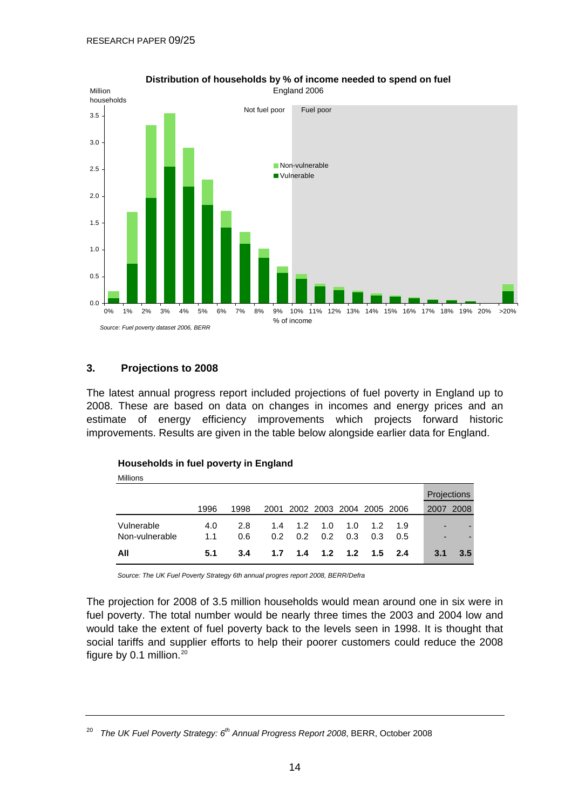<span id="page-13-0"></span>

#### **Distribution of households by % of income needed to spend on fuel** England 2006

#### **3. Projections to 2008**

The latest annual progress report included projections of fuel poverty in England up to 2008. These are based on data on changes in incomes and energy prices and an estimate of energy efficiency improvements which projects forward historic improvements. Results are given in the table below alongside earlier data for England.

| Millions                     |            |            |            |                          |            |                 |            |            |                          |                    |
|------------------------------|------------|------------|------------|--------------------------|------------|-----------------|------------|------------|--------------------------|--------------------|
|                              |            |            |            |                          |            |                 |            |            |                          | <b>Projections</b> |
|                              | 1996       | 1998       | 2001       | 2002 2003 2004 2005 2006 |            |                 |            |            | 2007                     | 2008               |
| Vulnerable<br>Non-vulnerable | 4.0<br>1.1 | 2.8<br>0.6 | 1.4<br>0.2 | 1.2<br>0.2               | 1.0<br>0.2 | 1.0<br>0.3      | 1.2<br>0.3 | 1.9<br>0.5 | $\overline{\phantom{0}}$ |                    |
| All                          | 5.1        | 3.4        | 1.7        |                          |            | 1.4 1.2 1.2 1.5 |            | 24         | 3.1                      | $3.5^{\circ}$      |

#### **Households in fuel poverty in England**

*Source: The UK Fuel Poverty Strategy 6th annual progres report 2008, BERR/Defra*

The projection for 2008 of 3.5 million households would mean around one in six were in fuel poverty. The total number would be nearly three times the 2003 and 2004 low and would take the extent of fuel poverty back to the levels seen in 1998. It is thought that social tariffs and supplier efforts to help their poorer customers could reduce the 2008 figure by 0.1 million. $20$ 

<sup>20</sup> *The UK Fuel Poverty Strategy: 6th Annual Progress Report 2008*, BERR, October 2008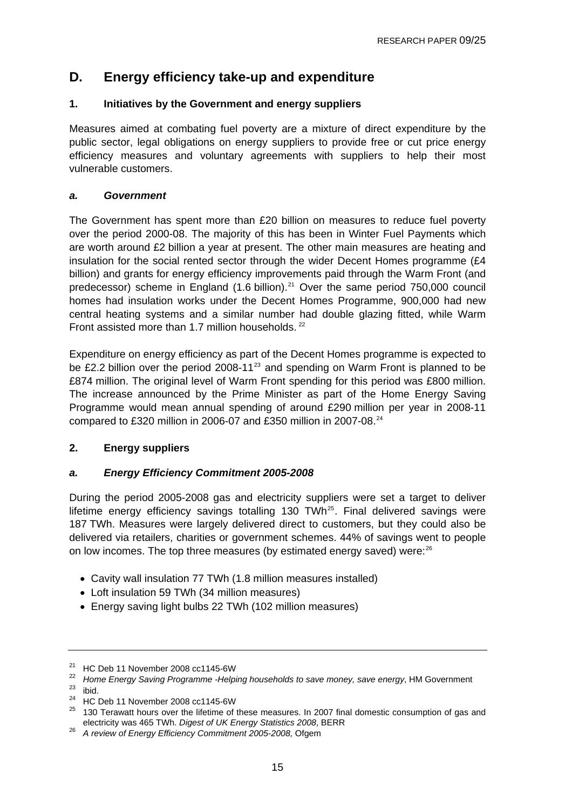## <span id="page-14-0"></span>**D. Energy efficiency take-up and expenditure**

### **1. Initiatives by the Government and energy suppliers**

Measures aimed at combating fuel poverty are a mixture of direct expenditure by the public sector, legal obligations on energy suppliers to provide free or cut price energy efficiency measures and voluntary agreements with suppliers to help their most vulnerable customers.

#### *a. Government*

The Government has spent more than £20 billion on measures to reduce fuel poverty over the period 2000-08. The majority of this has been in Winter Fuel Payments which are worth around £2 billion a year at present. The other main measures are heating and insulation for the social rented sector through the wider Decent Homes programme (£4 billion) and grants for energy efficiency improvements paid through the Warm Front (and predecessor) scheme in England  $(1.6 \text{ billion})$ .<sup>[21](#page-14-0)</sup> Over the same period 750,000 council homes had insulation works under the Decent Homes Programme, 900,000 had new central heating systems and a similar number had double glazing fitted, while Warm Front assisted more than 1.7 million households. <sup>[22](#page-14-0)</sup>

Expenditure on energy efficiency as part of the Decent Homes programme is expected to be £2.2 billion over the period 2008-11 $23$  and spending on Warm Front is planned to be £874 million. The original level of Warm Front spending for this period was £800 million. The increase announced by the Prime Minister as part of the Home Energy Saving Programme would mean annual spending of around £290 million per year in 2008-11 compared to £320 million in 2006-07 and £350 million in 2007-08. $^{24}$  $^{24}$  $^{24}$ 

### **2. Energy suppliers**

### *a. Energy Efficiency Commitment 2005-2008*

During the period 2005-2008 gas and electricity suppliers were set a target to deliver lifetime energy efficiency savings totalling 130 TWh $^{25}$  $^{25}$  $^{25}$ . Final delivered savings were 187 TWh. Measures were largely delivered direct to customers, but they could also be delivered via retailers, charities or government schemes. 44% of savings went to people on low incomes. The top three measures (by estimated energy saved) were:<sup>[26](#page-14-0)</sup>

- Cavity wall insulation 77 TWh (1.8 million measures installed)
- Loft insulation 59 TWh (34 million measures)
- Energy saving light bulbs 22 TWh (102 million measures)

<sup>&</sup>lt;sup>21</sup> HC Deb 11 November 2008 cc1145-6W

<sup>&</sup>lt;sup>22</sup> Home Energy Saving Programme -Helping households to save money, save energy, HM Government <sup>23</sup> ibid.

<sup>24</sup> HC Deb 11 November 2008 cc1145-6W

<sup>&</sup>lt;sup>25</sup> 130 Terawatt hours over the lifetime of these measures. In 2007 final domestic consumption of gas and electricity was 465 TWh. *Digest of UK Energy Statistics 2008*, BERR

<sup>&</sup>lt;sup>26</sup> A review of Energy Efficiency Commitment 2005-2008, Ofgem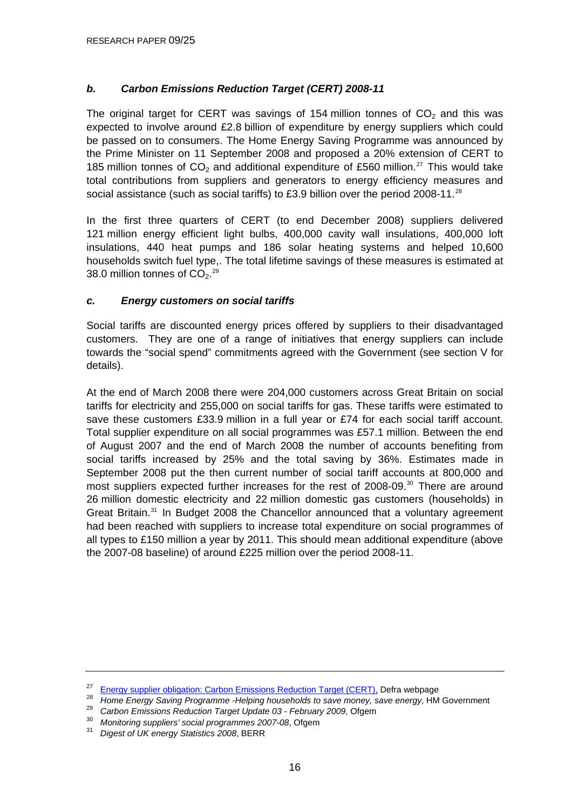### <span id="page-15-0"></span>*b. Carbon Emissions Reduction Target (CERT) 2008-11*

The original target for CERT was savings of 154 million tonnes of  $CO<sub>2</sub>$  and this was expected to involve around £2.8 billion of expenditure by energy suppliers which could be passed on to consumers. The Home Energy Saving Programme was announced by the Prime Minister on 11 September 2008 and proposed a 20% extension of CERT to 185 million tonnes of  $CO<sub>2</sub>$  and additional expenditure of £560 million.<sup>[27](#page-15-0)</sup> This would take total contributions from suppliers and generators to energy efficiency measures and social assistance (such as social tariffs) to £3.9 billion over the period 2008-11.<sup>[28](#page-15-0)</sup>

In the first three quarters of CERT (to end December 2008) suppliers delivered 121 million energy efficient light bulbs, 400,000 cavity wall insulations, 400,000 loft insulations, 440 heat pumps and 186 solar heating systems and helped 10,600 households switch fuel type,. The total lifetime savings of these measures is estimated at 38.0 million tonnes of  $CO<sub>2</sub>$ .<sup>[29](#page-15-0)</sup>

### *c. Energy customers on social tariffs*

Social tariffs are discounted energy prices offered by suppliers to their disadvantaged customers. They are one of a range of initiatives that energy suppliers can include towards the "social spend" commitments agreed with the Government (see section V for details).

At the end of March 2008 there were 204,000 customers across Great Britain on social tariffs for electricity and 255,000 on social tariffs for gas. These tariffs were estimated to save these customers £33.9 million in a full year or £74 for each social tariff account. Total supplier expenditure on all social programmes was £57.1 million. Between the end of August 2007 and the end of March 2008 the number of accounts benefiting from social tariffs increased by 25% and the total saving by 36%. Estimates made in September 2008 put the then current number of social tariff accounts at 800,000 and most suppliers expected further increases for the rest of 2008-09.<sup>[30](#page-15-0)</sup> There are around 26 million domestic electricity and 22 million domestic gas customers (households) in Great Britain.<sup>[31](#page-15-0)</sup> In Budget 2008 the Chancellor announced that a voluntary agreement had been reached with suppliers to increase total expenditure on social programmes of all types to £150 million a year by 2011. This should mean additional expenditure (above the 2007-08 baseline) of around £225 million over the period 2008-11.

<sup>&</sup>lt;sup>27</sup> [Energy supplier obligation: Carbon Emissions Reduction Target \(CERT\),](http://www.defra.gov.uk/environment/climatechange/uk/household/supplier/cert.htm) Defra webpage<br> *28* Home Energy Saving Programme -Helping households to save money, save energy, HM Government<br> *29* Carbon Emissions Reduction Ta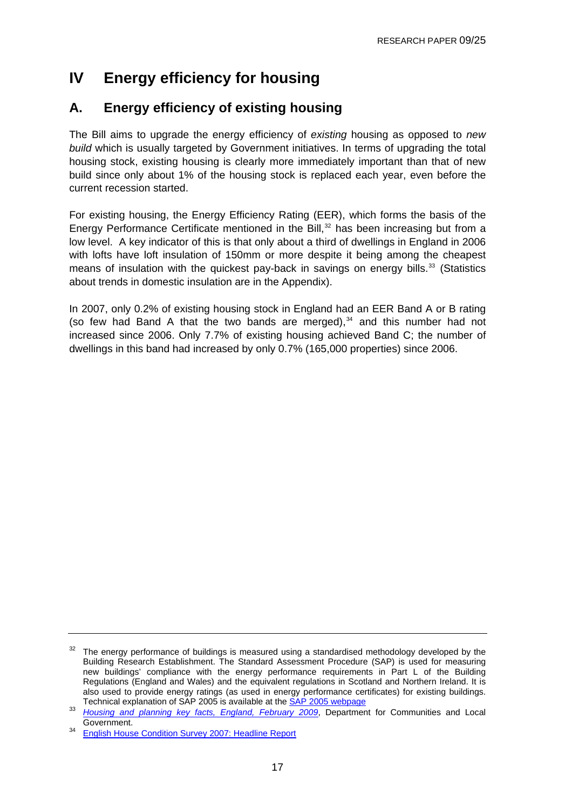# <span id="page-16-0"></span>**IV Energy efficiency for housing**

## **A. Energy efficiency of existing housing**

The Bill aims to upgrade the energy efficiency of *existing* housing as opposed to *new build* which is usually targeted by Government initiatives. In terms of upgrading the total housing stock, existing housing is clearly more immediately important than that of new build since only about 1% of the housing stock is replaced each year, even before the current recession started.

For existing housing, the Energy Efficiency Rating (EER), which forms the basis of the Energy Performance Certificate mentioned in the Bill, $32$  has been increasing but from a low level. A key indicator of this is that only about a third of dwellings in England in 2006 with lofts have loft insulation of 150mm or more despite it being among the cheapest means of insulation with the quickest pay-back in savings on energy bills.<sup>[33](#page-16-0)</sup> (Statistics about trends in domestic insulation are in the Appendix).

In 2007, only 0.2% of existing housing stock in England had an EER Band A or B rating (so few had Band A that the two bands are merged), $34$  and this number had not increased since 2006. Only 7.7% of existing housing achieved Band C; the number of dwellings in this band had increased by only 0.7% (165,000 properties) since 2006.

 $32$  The energy performance of buildings is measured using a standardised methodology developed by the Building Research Establishment. The Standard Assessment Procedure (SAP) is used for measuring new buildings' compliance with the energy performance requirements in Part L of the Building Regulations (England and Wales) and the equivalent regulations in Scotland and Northern Ireland. It is also used to provide energy ratings (as used in energy performance certificates) for existing buildings.<br>Technical explanation of SAP 2005 is available at the SAP 2005 webpage

Technical explanation of SAP 2005 is available at the [SAP 2005 webpage](http://www.projects.bre.co.uk/sap2005/) 33 *Housing and planning key facts, England, February 2009*, Department for Communities and Local Government. 34 [English House Condition Survey 2007: Headline Report](http://www.communities.gov.uk/documents/statistics/pdf/1133548.pdf)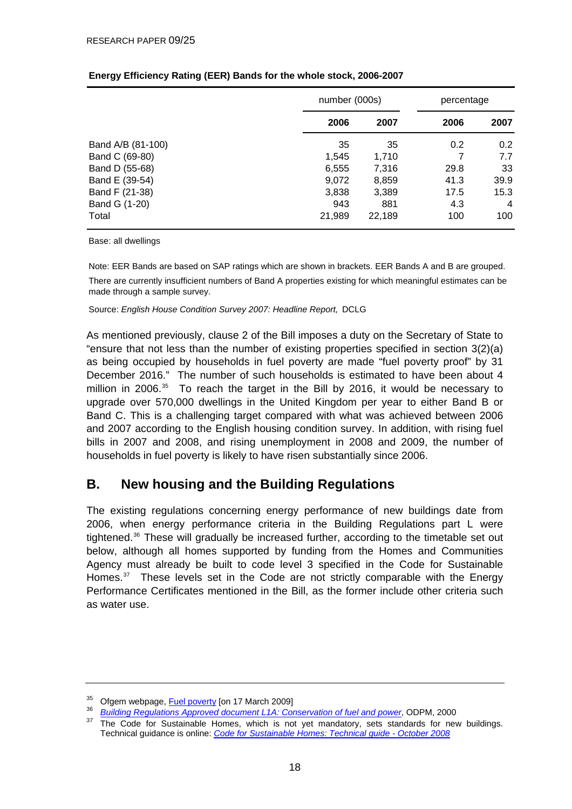|                   | number (000s) |        | percentage |      |  |
|-------------------|---------------|--------|------------|------|--|
|                   | 2006          | 2007   | 2006       | 2007 |  |
| Band A/B (81-100) | 35            | 35     | 0.2        | 0.2  |  |
| Band C (69-80)    | 1,545         | 1,710  |            | 7.7  |  |
| Band D (55-68)    | 6,555         | 7,316  | 29.8       | 33   |  |
| Band E (39-54)    | 9,072         | 8,859  | 41.3       | 39.9 |  |
| Band F (21-38)    | 3,838         | 3,389  | 17.5       | 15.3 |  |
| Band G (1-20)     | 943           | 881    | 4.3        | 4    |  |
| Total             | 21,989        | 22,189 | 100        | 100  |  |

#### <span id="page-17-0"></span>**Energy Efficiency Rating (EER) Bands for the whole stock, 2006-2007**

Base: all dwellings

Note: EER Bands are based on SAP ratings which are shown in brackets. EER Bands A and B are grouped. There are currently insufficient numbers of Band A properties existing for which meaningful estimates can be made through a sample survey.

Source: *English House Condition Survey 2007: Headline Report,* DCLG

As mentioned previously, clause 2 of the Bill imposes a duty on the Secretary of State to "ensure that not less than the number of existing properties specified in section 3(2)(a) as being occupied by households in fuel poverty are made "fuel poverty proof" by 31 December 2016." The number of such households is estimated to have been about 4 million in 2006. $35$  To reach the target in the Bill by 2016, it would be necessary to upgrade over 570,000 dwellings in the United Kingdom per year to either Band B or Band C. This is a challenging target compared with what was achieved between 2006 and 2007 according to the English housing condition survey. In addition, with rising fuel bills in 2007 and 2008, and rising unemployment in 2008 and 2009, the number of households in fuel poverty is likely to have risen substantially since 2006.

## **B. New housing and the Building Regulations**

The existing regulations concerning energy performance of new buildings date from 2006, when energy performance criteria in the Building Regulations part L were tightened.[36](#page-17-0) These will gradually be increased further, according to the timetable set out below, although all homes supported by funding from the Homes and Communities Agency must already be built to code level 3 specified in the Code for Sustainable Homes.<sup>[37](#page-17-0)</sup> These levels set in the Code are not strictly comparable with the Energy Performance Certificates mentioned in the Bill, as the former include other criteria such as water use.

<sup>&</sup>lt;sup>35</sup> Ofgem webpage[,](http://www.planningportal.gov.uk/england/professionals/en/4000000000563.html) *Fuel poverty* [on 17 March 2009]<br><sup>36</sup> *Building Regulations Approved document L1A: Conservation of fuel and power*, ODPM, 2000<br><sup>37</sup> The Code for Sustainable Homes, which is not yet mandatory, sets sta

Technical guidance is online: *[Code for Sustainable Homes: Technical guide - October 2008](http://www.communities.gov.uk/publications/planningandbuilding/codeguide)*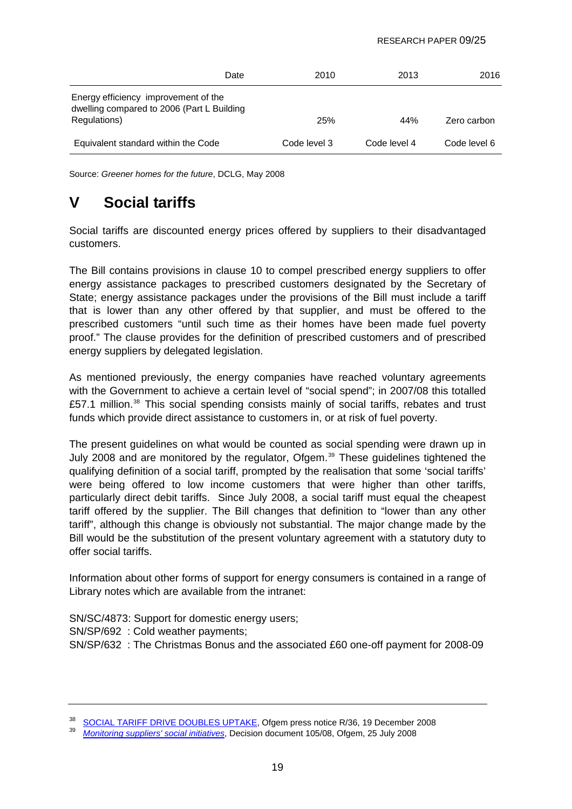<span id="page-18-0"></span>

| Date                                                                                               | 2010         | 2013         | 2016         |
|----------------------------------------------------------------------------------------------------|--------------|--------------|--------------|
| Energy efficiency improvement of the<br>dwelling compared to 2006 (Part L Building<br>Regulations) | 25%          | 44%          | Zero carbon  |
| Equivalent standard within the Code                                                                | Code level 3 | Code level 4 | Code level 6 |

Source: *Greener homes for the future*, DCLG, May 2008

# **V Social tariffs**

Social tariffs are discounted energy prices offered by suppliers to their disadvantaged customers.

The Bill contains provisions in clause 10 to compel prescribed energy suppliers to offer energy assistance packages to prescribed customers designated by the Secretary of State; energy assistance packages under the provisions of the Bill must include a tariff that is lower than any other offered by that supplier, and must be offered to the prescribed customers "until such time as their homes have been made fuel poverty proof." The clause provides for the definition of prescribed customers and of prescribed energy suppliers by delegated legislation.

As mentioned previously, the energy companies have reached voluntary agreements with the Government to achieve a certain level of "social spend"; in 2007/08 this totalled £57.1 million.<sup>[38](#page-18-0)</sup> This social spending consists mainly of social tariffs, rebates and trust funds which provide direct assistance to customers in, or at risk of fuel poverty.

The present guidelines on what would be counted as social spending were drawn up in July 2008 and are monitored by the regulator, Ofgem.<sup>[39](#page-18-0)</sup> These guidelines tightened the qualifying definition of a social tariff, prompted by the realisation that some 'social tariffs' were being offered to low income customers that were higher than other tariffs, particularly direct debit tariffs. Since July 2008, a social tariff must equal the cheapest tariff offered by the supplier. The Bill changes that definition to "lower than any other tariff", although this change is obviously not substantial. The major change made by the Bill would be the substitution of the present voluntary agreement with a statutory duty to offer social tariffs.

Information about other forms of support for energy consumers is contained in a range of Library notes which are available from the intranet:

SN/SC/4873: Support for domestic energy users;

SN/SP/692 : Cold weather payments;

SN/SP/632 : The Christmas Bonus and the associated £60 one-off payment for 2008-09

<sup>38</sup> [SOCIAL TARIFF DRIVE DOUBLES UPTAKE](http://www.ofgem.gov.uk/Media/PressRel/Documents1/Monitoring%20social%20spend%20release.pdf), Ofgem press notice R/36, 19 December 2008 39 *Monitoring suppliers' social initiatives*, Decision document 105/08, Ofgem, 25 July 2008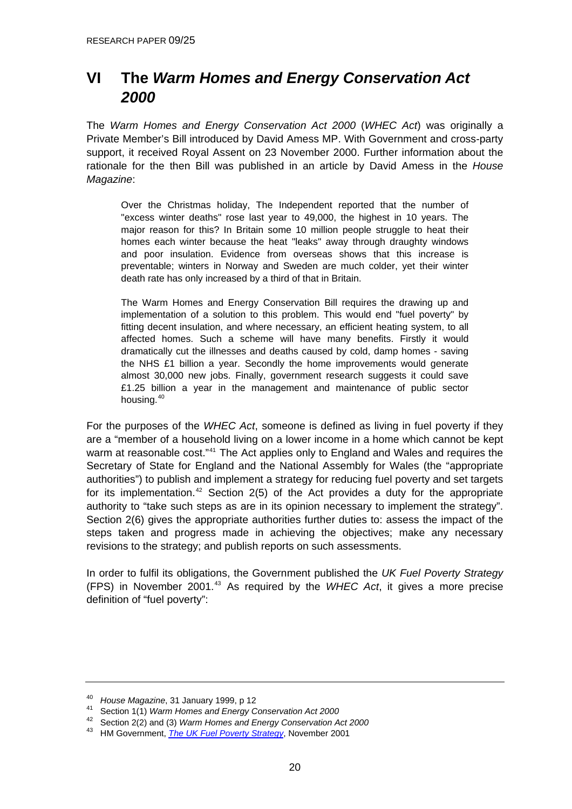# <span id="page-19-0"></span>**VI The** *Warm Homes and Energy Conservation Act 2000*

The *Warm Homes and Energy Conservation Act 2000* (*WHEC Act*) was originally a Private Member's Bill introduced by David Amess MP. With Government and cross-party support, it received Royal Assent on 23 November 2000. Further information about the rationale for the then Bill was published in an article by David Amess in the *House Magazine*:

Over the Christmas holiday, The Independent reported that the number of "excess winter deaths" rose last year to 49,000, the highest in 10 years. The major reason for this? In Britain some 10 million people struggle to heat their homes each winter because the heat "leaks" away through draughty windows and poor insulation. Evidence from overseas shows that this increase is preventable; winters in Norway and Sweden are much colder, yet their winter death rate has only increased by a third of that in Britain.

The Warm Homes and Energy Conservation Bill requires the drawing up and implementation of a solution to this problem. This would end "fuel poverty" by fitting decent insulation, and where necessary, an efficient heating system, to all affected homes. Such a scheme will have many benefits. Firstly it would dramatically cut the illnesses and deaths caused by cold, damp homes - saving the NHS £1 billion a year. Secondly the home improvements would generate almost 30,000 new jobs. Finally, government research suggests it could save £1.25 billion a year in the management and maintenance of public sector housing.<sup>[40](#page-19-0)</sup>

For the purposes of the *WHEC Act*, someone is defined as living in fuel poverty if they are a "member of a household living on a lower income in a home which cannot be kept warm at reasonable cost."<sup>[41](#page-19-0)</sup> The Act applies only to England and Wales and requires the Secretary of State for England and the National Assembly for Wales (the "appropriate authorities") to publish and implement a strategy for reducing fuel poverty and set targets for its implementation.<sup>[42](#page-19-0)</sup> Section 2(5) of the Act provides a duty for the appropriate authority to "take such steps as are in its opinion necessary to implement the strategy". Section 2(6) gives the appropriate authorities further duties to: assess the impact of the steps taken and progress made in achieving the objectives; make any necessary revisions to the strategy; and publish reports on such assessments.

In order to fulfil its obligations, the Government published the *UK Fuel Poverty Strategy* (FPS) in November 2001.[43](#page-19-0) As required by the *WHEC Act*, it gives a more precise definition of "fuel poverty":

<sup>&</sup>lt;sup>40</sup> House Magazine, 31 January 1999, p 12<br><sup>41</sup> Section 1(1) *Warm Homes and Energy Conservation Act 2000* 

<sup>42</sup> Section 2(2) and (3) *Warm Homes and Energy Conservation Act 2000*

<sup>43</sup> HM Government, *[The UK Fuel Poverty Strategy](http://www.berr.gov.uk/files/file16495.pdf)*, November 2001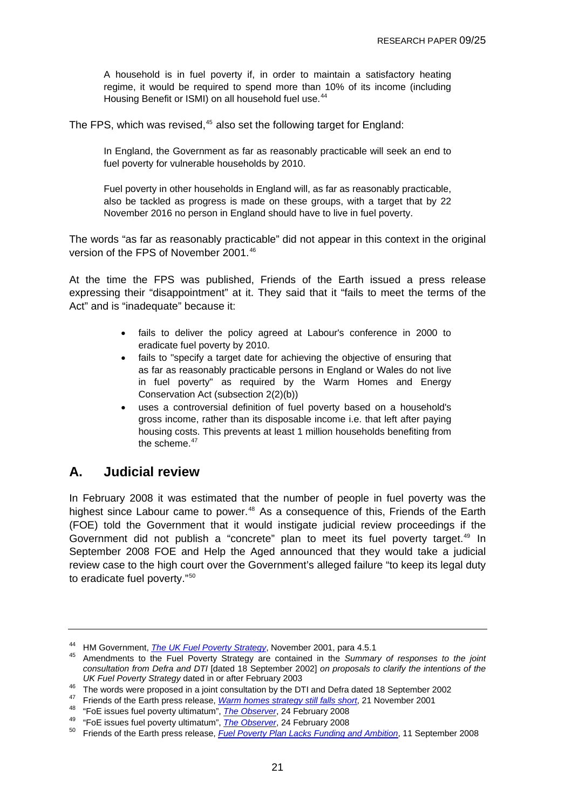<span id="page-20-0"></span>A household is in fuel poverty if, in order to maintain a satisfactory heating regime, it would be required to spend more than 10% of its income (including Housing Benefit or ISMI) on all household fuel use.<sup>[44](#page-20-0)</sup>

The FPS, which was revised,<sup>[45](#page-20-0)</sup> also set the following target for England:

In England, the Government as far as reasonably practicable will seek an end to fuel poverty for vulnerable households by 2010.

Fuel poverty in other households in England will, as far as reasonably practicable, also be tackled as progress is made on these groups, with a target that by 22 November 2016 no person in England should have to live in fuel poverty.

The words "as far as reasonably practicable" did not appear in this context in the original version of the FPS of November 2001.<sup>[46](#page-20-0)</sup>

At the time the FPS was published, Friends of the Earth issued a press release expressing their "disappointment" at it. They said that it "fails to meet the terms of the Act" and is "inadequate" because it:

- fails to deliver the policy agreed at Labour's conference in 2000 to eradicate fuel poverty by 2010.
- fails to "specify a target date for achieving the objective of ensuring that as far as reasonably practicable persons in England or Wales do not live in fuel poverty" as required by the Warm Homes and Energy Conservation Act (subsection 2(2)(b))
- uses a controversial definition of fuel poverty based on a household's gross income, rather than its disposable income i.e. that left after paying housing costs. This prevents at least 1 million households benefiting from the scheme. $47$

## **A. Judicial review**

In February 2008 it was estimated that the number of people in fuel poverty was the highest since Labour came to power.<sup>[48](#page-20-0)</sup> As a consequence of this, Friends of the Earth (FOE) told the Government that it would instigate judicial review proceedings if the Government did not publish a "concrete" plan to meet its fuel poverty target.<sup>[49](#page-20-0)</sup> In September 2008 FOE and Help the Aged announced that they would take a judicial review case to the high court over the Government's alleged failure "to keep its legal duty to eradicate fuel poverty."[50](#page-20-0)

<sup>&</sup>lt;sup>44</sup> HM Government[,](http://www.berr.gov.uk/files/file16495.pdf) *The UK Fuel Poverty Strategy*, November 2001, para 4.5.1<br><sup>45</sup> Amendments to the Fuel Poverty Strategy are contained in the *Summary of responses to the joint consultation from Defra and DTI* [dated 18 September 2002] *on proposals to clarify the intentions of the* 

*UK Fuel Poverty Strategy* dated in or after February 2003<br><sup>46</sup> The words were proposed in a joint consultation by the DTI and Defra dated 18 September 2002<br><sup>47</sup> Friends of the Earth press release, *Warm homes strategy sti* 

<sup>&</sup>lt;sup>48</sup> "FoE issues fuel poverty ultimatum"[,](http://www.foe.co.uk/resource/press_releases/1121wh.html)*The Observer*, 24 February 2008<br><sup>49</sup> "FoE issues fuel poverty ultimatum", *The Observer*, 24 February 2008<br><sup>50</sup> Friends of the Earth press release, *Fuel Poverty Plan Lacks Fundin*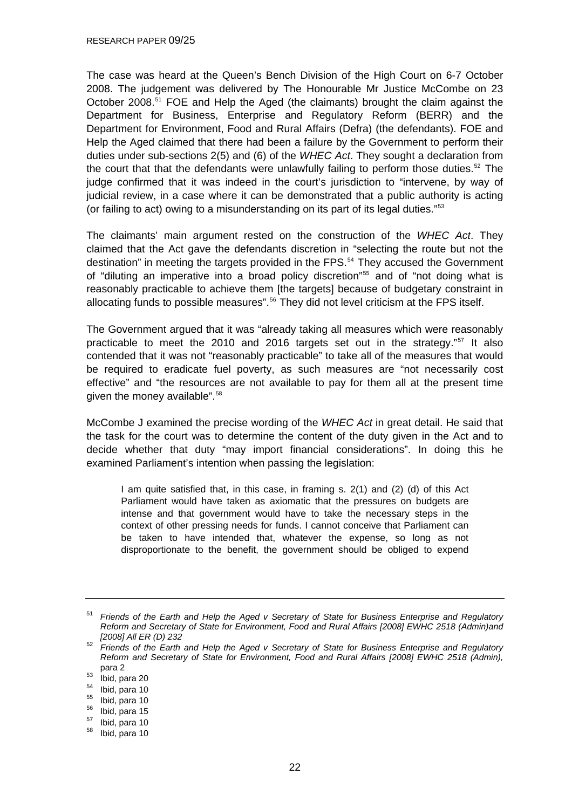<span id="page-21-0"></span>The case was heard at the Queen's Bench Division of the High Court on 6-7 October 2008. The judgement was delivered by The Honourable Mr Justice McCombe on 23 October 2008.[51](#page-21-0) FOE and Help the Aged (the claimants) brought the claim against the Department for Business, Enterprise and Regulatory Reform (BERR) and the Department for Environment, Food and Rural Affairs (Defra) (the defendants). FOE and Help the Aged claimed that there had been a failure by the Government to perform their duties under sub-sections 2(5) and (6) of the *WHEC Act*. They sought a declaration from the court that that the defendants were unlawfully failing to perform those duties.<sup>[52](#page-21-0)</sup> The judge confirmed that it was indeed in the court's jurisdiction to "intervene, by way of judicial review, in a case where it can be demonstrated that a public authority is acting (or failing to act) owing to a misunderstanding on its part of its legal duties."[53](#page-21-0)

The claimants' main argument rested on the construction of the *WHEC Act*. They claimed that the Act gave the defendants discretion in "selecting the route but not the destination" in meeting the targets provided in the FPS.<sup>[54](#page-21-0)</sup> They accused the Government of "diluting an imperative into a broad policy discretion"<sup>[55](#page-21-0)</sup> and of "not doing what is reasonably practicable to achieve them [the targets] because of budgetary constraint in allocating funds to possible measures".<sup>[56](#page-21-0)</sup> They did not level criticism at the FPS itself.

The Government argued that it was "already taking all measures which were reasonably practicable to meet the 2010 and 2016 targets set out in the strategy."[57](#page-21-0) It also contended that it was not "reasonably practicable" to take all of the measures that would be required to eradicate fuel poverty, as such measures are "not necessarily cost effective" and "the resources are not available to pay for them all at the present time given the money available".58

McCombe J examined the precise wording of the *WHEC Act* in great detail. He said that the task for the court was to determine the content of the duty given in the Act and to decide whether that duty "may import financial considerations". In doing this he examined Parliament's intention when passing the legislation:

I am quite satisfied that, in this case, in framing s. 2(1) and (2) (d) of this Act Parliament would have taken as axiomatic that the pressures on budgets are intense and that government would have to take the necessary steps in the context of other pressing needs for funds. I cannot conceive that Parliament can be taken to have intended that, whatever the expense, so long as not disproportionate to the benefit, the government should be obliged to expend

<sup>51</sup> *Friends of the Earth and Help the Aged v Secretary of State for Business Enterprise and Regulatory Reform and Secretary of State for Environment, Food and Rural Affairs [2008] EWHC 2518 (Admin)and [2008] All ER (D) 232* 

<sup>52</sup> *Friends of the Earth and Help the Aged v Secretary of State for Business Enterprise and Regulatory Reform and Secretary of State for Environment, Food and Rural Affairs [2008] EWHC 2518 (Admin),*

para 2<br> $^{53}$  Ibid, para 20<br> $^{54}$  Ibid, para 10<br> $^{55}$  Ibid, para 10

 $\frac{55}{56}$  Ibid, para 10

 $\frac{56}{57}$  Ibid, para 15

 $\frac{57}{58}$  Ibid, para 10

Ibid, para 10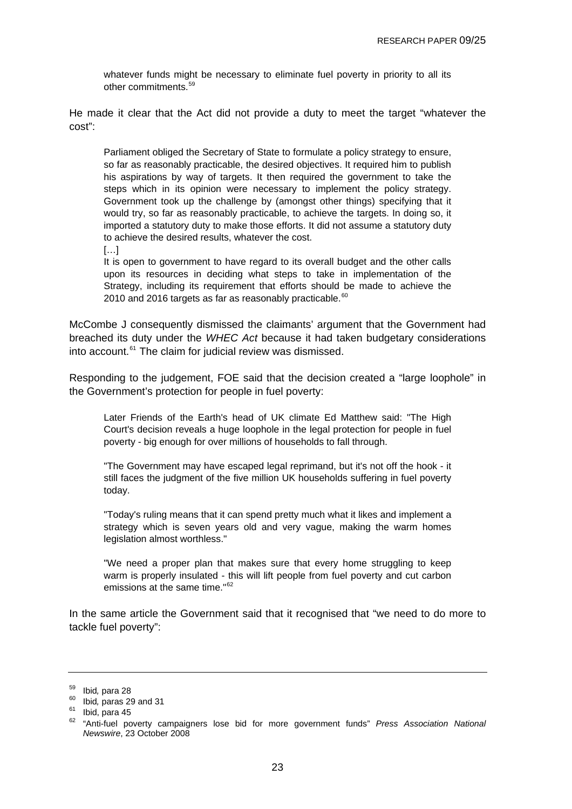<span id="page-22-0"></span>whatever funds might be necessary to eliminate fuel poverty in priority to all its other commitments.[59](#page-22-0)

He made it clear that the Act did not provide a duty to meet the target "whatever the cost":

Parliament obliged the Secretary of State to formulate a policy strategy to ensure, so far as reasonably practicable, the desired objectives. It required him to publish his aspirations by way of targets. It then required the government to take the steps which in its opinion were necessary to implement the policy strategy. Government took up the challenge by (amongst other things) specifying that it would try, so far as reasonably practicable, to achieve the targets. In doing so, it imported a statutory duty to make those efforts. It did not assume a statutory duty to achieve the desired results, whatever the cost.

 $[\dots]$ 

It is open to government to have regard to its overall budget and the other calls upon its resources in deciding what steps to take in implementation of the Strategy, including its requirement that efforts should be made to achieve the 2010 and 2016 targets as far as reasonably practicable. $60$ 

McCombe J consequently dismissed the claimants' argument that the Government had breached its duty under the *WHEC Act* because it had taken budgetary considerations into account.<sup>[61](#page-22-0)</sup> The claim for judicial review was dismissed.

Responding to the judgement, FOE said that the decision created a "large loophole" in the Government's protection for people in fuel poverty:

Later Friends of the Earth's head of UK climate Ed Matthew said: "The High Court's decision reveals a huge loophole in the legal protection for people in fuel poverty - big enough for over millions of households to fall through.

"The Government may have escaped legal reprimand, but it's not off the hook - it still faces the judgment of the five million UK households suffering in fuel poverty today.

"Today's ruling means that it can spend pretty much what it likes and implement a strategy which is seven years old and very vague, making the warm homes legislation almost worthless."

"We need a proper plan that makes sure that every home struggling to keep warm is properly insulated - this will lift people from fuel poverty and cut carbon emissions at the same time."<sup>[62](#page-22-0)</sup>

In the same article the Government said that it recognised that "we need to do more to tackle fuel poverty":

<sup>59</sup> Ibid*,* para 28 60 Ibid*,* paras 29 and 31 61 Ibid, para 45

<sup>62 &</sup>quot;Anti-fuel poverty campaigners lose bid for more government funds" *Press Association National Newswire*, 23 October 2008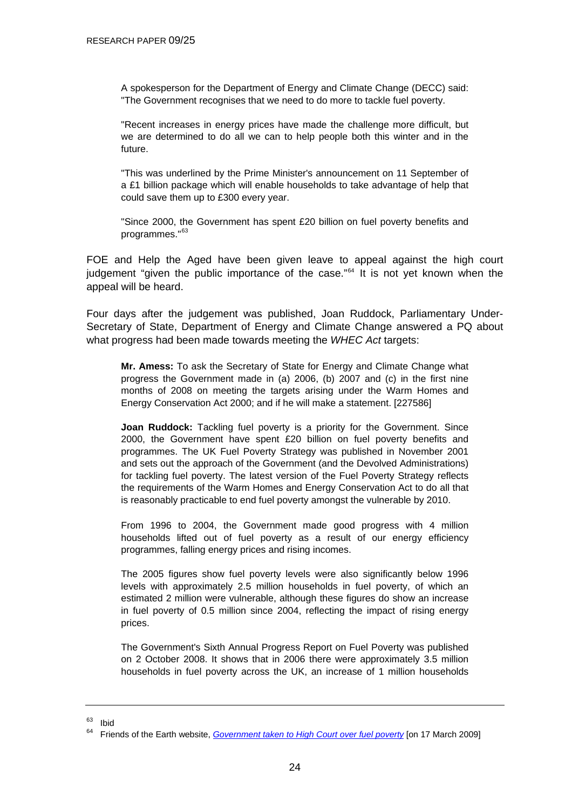<span id="page-23-0"></span>A spokesperson for the Department of Energy and Climate Change (DECC) said: "The Government recognises that we need to do more to tackle fuel poverty.

"Recent increases in energy prices have made the challenge more difficult, but we are determined to do all we can to help people both this winter and in the future.

"This was underlined by the Prime Minister's announcement on 11 September of a £1 billion package which will enable households to take advantage of help that could save them up to £300 every year.

"Since 2000, the Government has spent £20 billion on fuel poverty benefits and programmes."[63](#page-23-0)

FOE and Help the Aged have been given leave to appeal against the high court judgement "given the public importance of the case."<sup>[64](#page-23-0)</sup> It is not yet known when the appeal will be heard.

Four days after the judgement was published, Joan Ruddock, Parliamentary Under-Secretary of State, Department of Energy and Climate Change answered a PQ about what progress had been made towards meeting the *WHEC Act* targets:

**Mr. Amess:** To ask the Secretary of State for Energy and Climate Change what progress the Government made in (a) 2006, (b) 2007 and (c) in the first nine months of 2008 on meeting the targets arising under the Warm Homes and Energy Conservation Act 2000; and if he will make a statement. [227586]

**Joan Ruddock:** Tackling fuel poverty is a priority for the Government. Since 2000, the Government have spent £20 billion on fuel poverty benefits and programmes. The UK Fuel Poverty Strategy was published in November 2001 and sets out the approach of the Government (and the Devolved Administrations) for tackling fuel poverty. The latest version of the Fuel Poverty Strategy reflects the requirements of the Warm Homes and Energy Conservation Act to do all that is reasonably practicable to end fuel poverty amongst the vulnerable by 2010.

From 1996 to 2004, the Government made good progress with 4 million households lifted out of fuel poverty as a result of our energy efficiency programmes, falling energy prices and rising incomes.

The 2005 figures show fuel poverty levels were also significantly below 1996 levels with approximately 2.5 million households in fuel poverty, of which an estimated 2 million were vulnerable, although these figures do show an increase in fuel poverty of 0.5 million since 2004, reflecting the impact of rising energy prices.

The Government's Sixth Annual Progress Report on Fuel Poverty was published on 2 October 2008. It shows that in 2006 there were approximately 3.5 million households in fuel poverty across the UK, an increase of 1 million households

 $\begin{matrix} 63 \\ 64 \end{matrix}$  Ibid

<sup>64</sup> Friends of the Earth website, *[Government taken to High Court over fuel poverty](http://www.foe.co.uk/resource/local/planning/news/fuel_poveryy_judgement_16028.html)* [on 17 March 2009]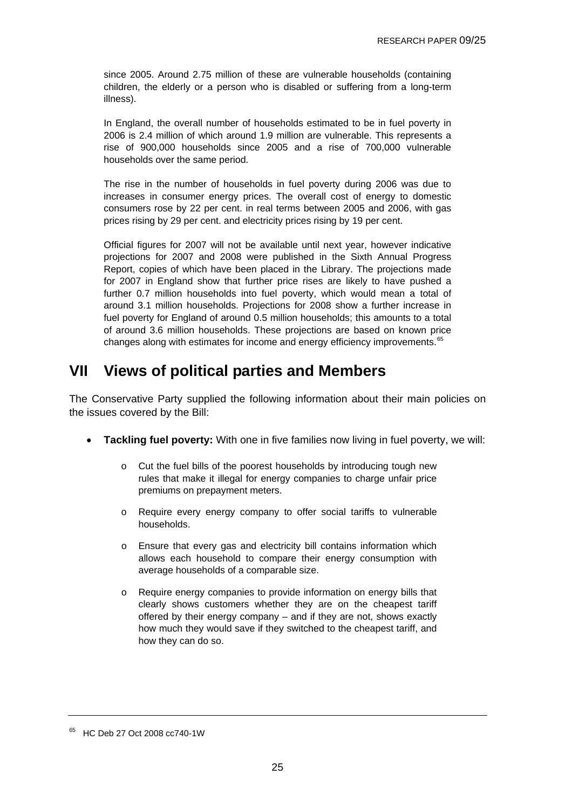<span id="page-24-0"></span>since 2005. Around 2.75 million of these are vulnerable households (containing children, the elderly or a person who is disabled or suffering from a long-term illness).

In England, the overall number of households estimated to be in fuel poverty in 2006 is 2.4 million of which around 1.9 million are vulnerable. This represents a rise of 900,000 households since 2005 and a rise of 700,000 vulnerable households over the same period.

The rise in the number of households in fuel poverty during 2006 was due to increases in consumer energy prices. The overall cost of energy to domestic consumers rose by 22 per cent. in real terms between 2005 and 2006, with gas prices rising by 29 per cent. and electricity prices rising by 19 per cent.

Official figures for 2007 will not be available until next year, however indicative projections for 2007 and 2008 were published in the Sixth Annual Progress Report, copies of which have been placed in the Library. The projections made for 2007 in England show that further price rises are likely to have pushed a further 0.7 million households into fuel poverty, which would mean a total of around 3.1 million households. Projections for 2008 show a further increase in fuel poverty for England of around 0.5 million households; this amounts to a total of around 3.6 million households. These projections are based on known price changes along with estimates for income and energy efficiency improvements.<sup>[65](#page-24-0)</sup>

# **VII Views of political parties and Members**

The Conservative Party supplied the following information about their main policies on the issues covered by the Bill:

- **Tackling fuel poverty:** With one in five families now living in fuel poverty, we will:
	- o Cut the fuel bills of the poorest households by introducing tough new rules that make it illegal for energy companies to charge unfair price premiums on prepayment meters.
	- o Require every energy company to offer social tariffs to vulnerable households.
	- o Ensure that every gas and electricity bill contains information which allows each household to compare their energy consumption with average households of a comparable size.
	- o Require energy companies to provide information on energy bills that clearly shows customers whether they are on the cheapest tariff offered by their energy company – and if they are not, shows exactly how much they would save if they switched to the cheapest tariff, and how they can do so.

<sup>&</sup>lt;sup>65</sup> HC Deb 27 Oct 2008 cc740-1W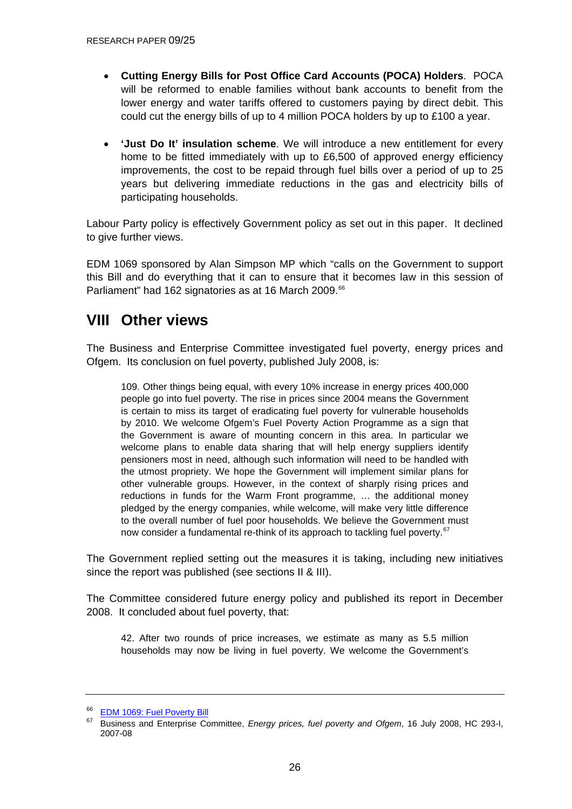- <span id="page-25-0"></span>• **Cutting Energy Bills for Post Office Card Accounts (POCA) Holders**. POCA will be reformed to enable families without bank accounts to benefit from the lower energy and water tariffs offered to customers paying by direct debit. This could cut the energy bills of up to 4 million POCA holders by up to £100 a year.
- **'Just Do It' insulation scheme**. We will introduce a new entitlement for every home to be fitted immediately with up to £6,500 of approved energy efficiency improvements, the cost to be repaid through fuel bills over a period of up to 25 years but delivering immediate reductions in the gas and electricity bills of participating households.

Labour Party policy is effectively Government policy as set out in this paper. It declined to give further views.

EDM 1069 sponsored by Alan Simpson MP which "calls on the Government to support this Bill and do everything that it can to ensure that it becomes law in this session of Parliament" had 162 signatories as at 16 March 2009.<sup>[66](#page-25-0)</sup>

## **VIII Other views**

The Business and Enterprise Committee investigated fuel poverty, energy prices and Ofgem. Its conclusion on fuel poverty, published July 2008, is:

109. Other things being equal, with every 10% increase in energy prices 400,000 people go into fuel poverty. The rise in prices since 2004 means the Government is certain to miss its target of eradicating fuel poverty for vulnerable households by 2010. We welcome Ofgem's Fuel Poverty Action Programme as a sign that the Government is aware of mounting concern in this area. In particular we welcome plans to enable data sharing that will help energy suppliers identify pensioners most in need, although such information will need to be handled with the utmost propriety. We hope the Government will implement similar plans for other vulnerable groups. However, in the context of sharply rising prices and reductions in funds for the Warm Front programme, … the additional money pledged by the energy companies, while welcome, will make very little difference to the overall number of fuel poor households. We believe the Government must now consider a fundamental re-think of its approach to tackling fuel poverty.<sup>[67](#page-25-0)</sup>

The Government replied setting out the measures it is taking, including new initiatives since the report was published (see sections II & III).

The Committee considered future energy policy and published its report in December 2008. It concluded about fuel poverty, that:

42. After two rounds of price increases, we estimate as many as 5.5 million households may now be living in fuel poverty. We welcome the Government's

<sup>&</sup>lt;sup>66</sup> [EDM 1069: Fuel Poverty Bill](http://edmi.parliament.uk/EDMi/EDMDetails.aspx?EDMID=38173&SESSION=899)<br><sup>67</sup> Punisage and Enterprise Co

<sup>67</sup> Business and Enterprise Committee, *Energy prices, fuel poverty and Ofgem*, 16 July 2008, HC 293-I, 2007-08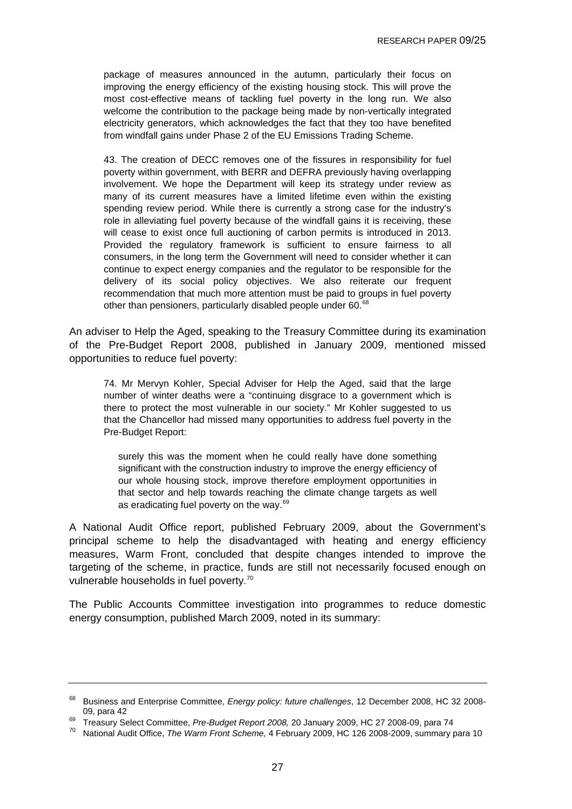<span id="page-26-0"></span>package of measures announced in the autumn, particularly their focus on improving the energy efficiency of the existing housing stock. This will prove the most cost-effective means of tackling fuel poverty in the long run. We also welcome the contribution to the package being made by non-vertically integrated electricity generators, which acknowledges the fact that they too have benefited from windfall gains under Phase 2 of the EU Emissions Trading Scheme.

43. The creation of DECC removes one of the fissures in responsibility for fuel poverty within government, with BERR and DEFRA previously having overlapping involvement. We hope the Department will keep its strategy under review as many of its current measures have a limited lifetime even within the existing spending review period. While there is currently a strong case for the industry's role in alleviating fuel poverty because of the windfall gains it is receiving, these will cease to exist once full auctioning of carbon permits is introduced in 2013. Provided the regulatory framework is sufficient to ensure fairness to all consumers, in the long term the Government will need to consider whether it can continue to expect energy companies and the regulator to be responsible for the delivery of its social policy objectives. We also reiterate our frequent recommendation that much more attention must be paid to groups in fuel poverty other than pensioners, particularly disabled people under 60.<sup>[68](#page-26-0)</sup>

An adviser to Help the Aged, speaking to the Treasury Committee during its examination of the Pre-Budget Report 2008, published in January 2009, mentioned missed opportunities to reduce fuel poverty:

74. Mr Mervyn Kohler, Special Adviser for Help the Aged, said that the large number of winter deaths were a "continuing disgrace to a government which is there to protect the most vulnerable in our society." Mr Kohler suggested to us that the Chancellor had missed many opportunities to address fuel poverty in the Pre-Budget Report:

surely this was the moment when he could really have done something significant with the construction industry to improve the energy efficiency of our whole housing stock, improve therefore employment opportunities in that sector and help towards reaching the climate change targets as well as eradicating fuel poverty on the way.<sup>[69](#page-26-0)</sup>

A National Audit Office report, published February 2009, about the Government's principal scheme to help the disadvantaged with heating and energy efficiency measures, Warm Front, concluded that despite changes intended to improve the targeting of the scheme, in practice, funds are still not necessarily focused enough on vulnerable households in fuel poverty.<sup>[70](#page-26-0)</sup>

The Public Accounts Committee investigation into programmes to reduce domestic energy consumption, published March 2009, noted in its summary:

<sup>68</sup> Business and Enterprise Committee, *Energy policy: future challenges*, 12 December 2008, HC 32 2008- 09, para 42 69 Treasury Select Committee, *Pre-Budget Report 2008,* 20 January 2009, HC 27 2008-09, para 74 70 National Audit Office, *The Warm Front Scheme,* 4 February 2009, HC 126 2008-2009, summary para 10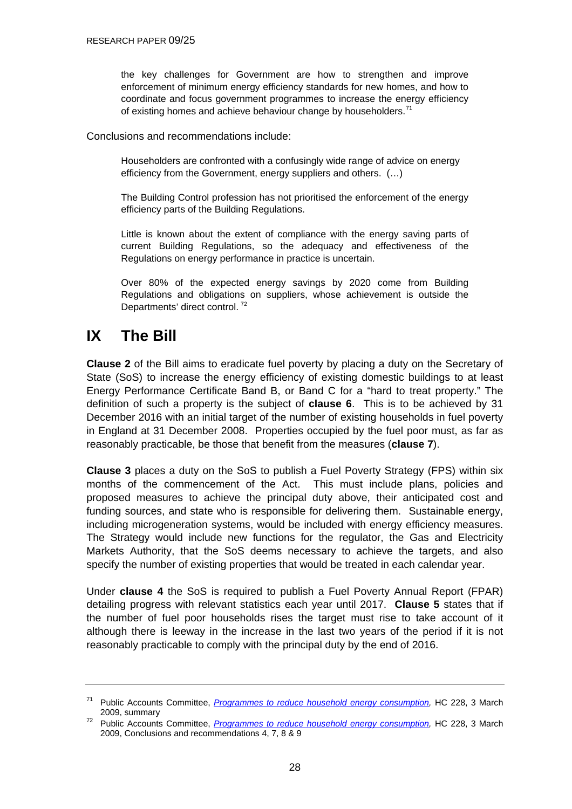<span id="page-27-0"></span>the key challenges for Government are how to strengthen and improve enforcement of minimum energy efficiency standards for new homes, and how to coordinate and focus government programmes to increase the energy efficiency of existing homes and achieve behaviour change by householders.<sup>[71](#page-27-0)</sup>

Conclusions and recommendations include:

Householders are confronted with a confusingly wide range of advice on energy efficiency from the Government, energy suppliers and others. (…)

The Building Control profession has not prioritised the enforcement of the energy efficiency parts of the Building Regulations.

Little is known about the extent of compliance with the energy saving parts of current Building Regulations, so the adequacy and effectiveness of the Regulations on energy performance in practice is uncertain.

Over 80% of the expected energy savings by 2020 come from Building Regulations and obligations on suppliers, whose achievement is outside the Departments' direct control.<sup>[72](#page-27-0)</sup>

# **IX The Bill**

**Clause 2** of the Bill aims to eradicate fuel poverty by placing a duty on the Secretary of State (SoS) to increase the energy efficiency of existing domestic buildings to at least Energy Performance Certificate Band B, or Band C for a "hard to treat property." The definition of such a property is the subject of **clause 6**. This is to be achieved by 31 December 2016 with an initial target of the number of existing households in fuel poverty in England at 31 December 2008. Properties occupied by the fuel poor must, as far as reasonably practicable, be those that benefit from the measures (**clause 7**).

**Clause 3** places a duty on the SoS to publish a Fuel Poverty Strategy (FPS) within six months of the commencement of the Act. This must include plans, policies and proposed measures to achieve the principal duty above, their anticipated cost and funding sources, and state who is responsible for delivering them. Sustainable energy, including microgeneration systems, would be included with energy efficiency measures. The Strategy would include new functions for the regulator, the Gas and Electricity Markets Authority, that the SoS deems necessary to achieve the targets, and also specify the number of existing properties that would be treated in each calendar year.

Under **clause 4** the SoS is required to publish a Fuel Poverty Annual Report (FPAR) detailing progress with relevant statistics each year until 2017. **Clause 5** states that if the number of fuel poor households rises the target must rise to take account of it although there is leeway in the increase in the last two years of the period if it is not reasonably practicable to comply with the principal duty by the end of 2016.

<sup>71</sup> Public Accounts Committee, *[Programmes to reduce household energy consumption](http://www.publications.parliament.uk/pa/cm200809/cmselect/cmpubacc/228/9780215526618.pdf),* HC 228, 3 March 2009, summary 72 Public Accounts Committee, *[Programmes to reduce household energy consumption](http://www.publications.parliament.uk/pa/cm200809/cmselect/cmpubacc/228/9780215526618.pdf),* HC 228, 3 March

<sup>2009,</sup> Conclusions and recommendations 4, 7, 8 & 9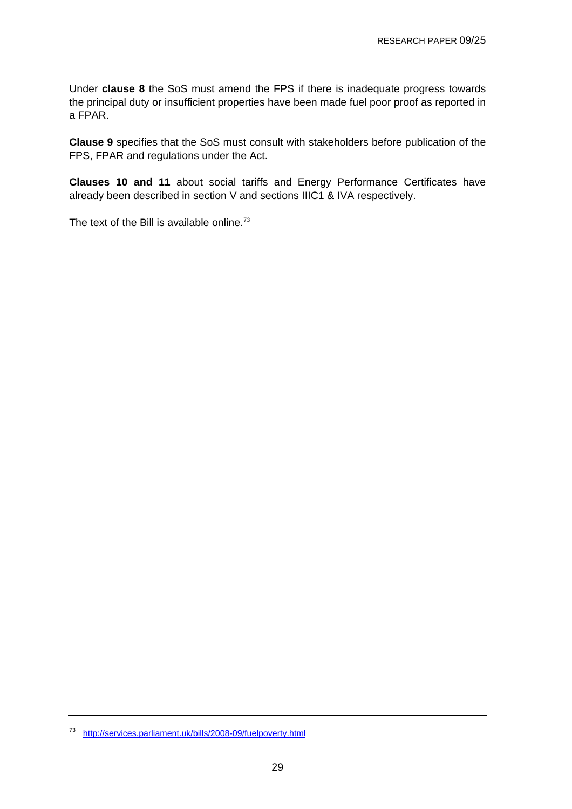<span id="page-28-0"></span>Under **clause 8** the SoS must amend the FPS if there is inadequate progress towards the principal duty or insufficient properties have been made fuel poor proof as reported in a FPAR.

**Clause 9** specifies that the SoS must consult with stakeholders before publication of the FPS, FPAR and regulations under the Act.

**Clauses 10 and 11** about social tariffs and Energy Performance Certificates have already been described in section V and sections IIIC1 & IVA respectively.

The text of the Bill is available online. $73$ 

<sup>73</sup> <http://services.parliament.uk/bills/2008-09/fuelpoverty.html>